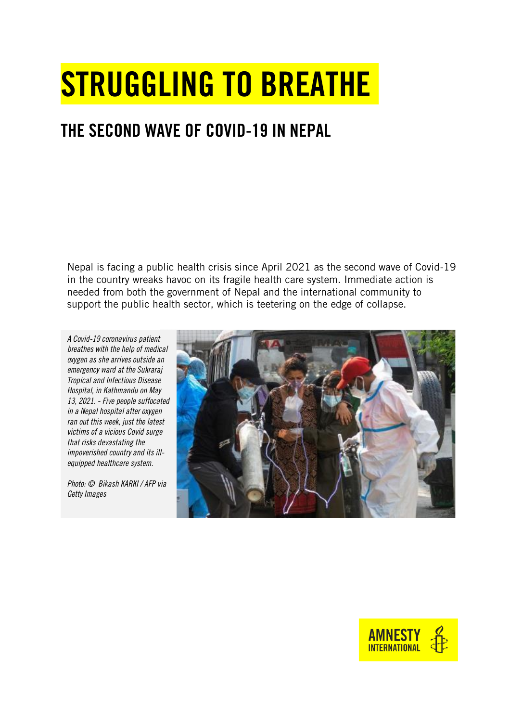# STRUGGLING TO BREATHE

# THE SECOND WAVE OF COVID-19 IN NEPAL

Nepal is facing a public health crisis since April 2021 as the second wave of Covid-19 in the country wreaks havoc on its fragile health care system. Immediate action is needed from both the government of Nepal and the international community to support the public health sector, which is teetering on the edge of collapse.

*A Covid-19 coronavirus patient breathes with the help of medical oxygen as she arrives outside an emergency ward at the Sukraraj Tropical and Infectious Disease Hospital, in Kathmandu on May 13, 2021. - Five people suffocated in a Nepal hospital after oxygen ran out this week, just the latest victims of a vicious Covid surge that risks devastating the impoverished country and its illequipped healthcare system.* 

*Photo: © Bikash KARKI / AFP via Getty Images*



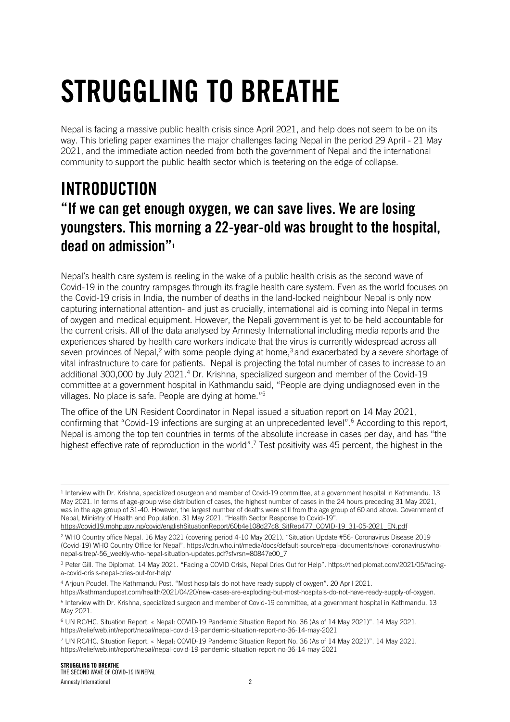# STRUGGLING TO BREATHE

Nepal is facing a massive public health crisis since April 2021, and help does not seem to be on its way. This briefing paper examines the major challenges facing Nepal in the period 29 April - 21 May 2021, and the immediate action needed from both the government of Nepal and the international community to support the public health sector which is teetering on the edge of collapse.

# INTRODUCTION "If we can get enough oxygen, we can save lives. We are losing youngsters. This morning a 22-year-old was brought to the hospital, dead on admission"<sup>1</sup>

Nepal's health care system is reeling in the wake of a public health crisis as the second wave of Covid-19 in the country rampages through its fragile health care system. Even as the world focuses on the Covid-19 crisis in India, the number of deaths in the land-locked neighbour Nepal is only now capturing international attention- and just as crucially, international aid is coming into Nepal in terms of oxygen and medical equipment. However, the Nepali government is yet to be held accountable for the current crisis. All of the data analysed by Amnesty International including media reports and the experiences shared by health care workers indicate that the virus is currently widespread across all seven provinces of Nepal,<sup>2</sup> with some people dying at home,<sup>3</sup> and exacerbated by a severe shortage of vital infrastructure to care for patients. Nepal is projecting the total number of cases to increase to an additional 300,000 by July 2021.<sup>4</sup> Dr. Krishna, specialized surgeon and member of the Covid-19 committee at a government hospital in Kathmandu said, "People are dying undiagnosed even in the villages. No place is safe. People are dying at home."<sup>5</sup>

The office of the UN Resident Coordinator in Nepal issued a situation report on 14 May 2021, confirming that "Covid-19 infections are surging at an unprecedented level".<sup>6</sup> According to this report, Nepal is among the top ten countries in terms of the absolute increase in cases per day, and has "the highest effective rate of reproduction in the world".<sup>7</sup> Test positivity was 45 percent, the highest in the

<sup>4</sup> Arjoun Poudel. The Kathmandu Post. "Most hospitals do not have ready supply of oxygen". 20 April 2021.

[https://kathmandupost.com/health/2021/04/20/new-cases-are-exploding-but-most-hospitals-do-not-have-ready-supply-of-oxygen.](https://kathmandupost.com/health/2021/04/20/new-cases-are-exploding-but-most-hospitals-do-not-have-ready-supply-of-oxygen) 5 Interview with Dr. Krishna, specialized surgeon and member of Covid-19 committee, at a government hospital in Kathmandu. 13 May 2021.

<sup>1</sup> Interview with Dr. Krishna, specialized osurgeon and member of Covid-19 committee, at a government hospital in Kathmandu. 13 May 2021. In terms of age-group wise distribution of cases, the highest number of cases in the 24 hours preceding 31 May 2021, was in the age group of 31-40. However, the largest number of deaths were still from the age group of 60 and above. Government of Nepal, Ministry of Health and Population. 31 May 2021. "Health Sector Response to Covid-19".

[https://covid19.mohp.gov.np/covid/englishSituationReport/60b4e108d27c8\\_SitRep477\\_COVID-19\\_31-05-2021\\_EN.pdf](https://covid19.mohp.gov.np/covid/englishSituationReport/60b4e108d27c8_SitRep477_COVID-19_31-05-2021_EN.pdf) <sup>2</sup> WHO Country office Nepal. 16 May 2021 (covering period 4-10 May 2021). "Situation Update #56- Coronavirus Disease 2019 (Covid-19) WHO Country Office for Nepal". https://cdn.who.int/media/docs/default-source/nepal-documents/novel-coronavirus/whonepal-sitrep/-56\_weekly-who-nepal-situation-updates.pdf?sfvrsn=80847e00\_7

<sup>3</sup> Peter Gill. The Diplomat. 14 May 2021. "Facing a COVID Crisis, Nepal Cries Out for Help". https://thediplomat.com/2021/05/facinga-covid-crisis-nepal-cries-out-for-help/

<sup>6</sup> UN RC/HC. Situation Report. « Nepal: COVID-19 Pandemic Situation Report No. 36 (As of 14 May 2021)". 14 May 2021. https://reliefweb.int/report/nepal/nepal-covid-19-pandemic-situation-report-no-36-14-may-2021

<sup>7</sup> UN RC/HC. Situation Report. « Nepal: COVID-19 Pandemic Situation Report No. 36 (As of 14 May 2021)". 14 May 2021. https://reliefweb.int/report/nepal/nepal-covid-19-pandemic-situation-report-no-36-14-may-2021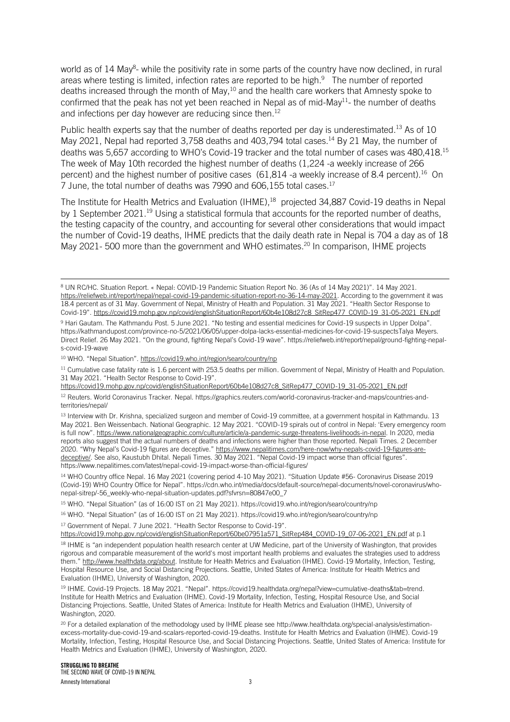world as of 14 May<sup>8</sup>- while the positivity rate in some parts of the country have now declined, in rural areas where testing is limited, infection rates are reported to be high.<sup>9</sup> The number of reported deaths increased through the month of May,<sup>10</sup> and the health care workers that Amnesty spoke to confirmed that the peak has not yet been reached in Nepal as of mid-May<sup>11</sup>- the number of deaths and infections per day however are reducing since then. 12

Public health experts say that the number of deaths reported per day is underestimated.<sup>13</sup> As of 10 May 2021, Nepal had reported 3,758 deaths and 403,794 total cases.<sup>14</sup> By 21 May, the number of deaths was 5,657 according to WHO's Covid-19 tracker and the total number of cases was 480,418.<sup>15</sup> The week of May 10th recorded the highest number of deaths (1,224 -a weekly increase of 266 percent) and the highest number of positive cases (61,814 -a weekly increase of 8.4 percent).<sup>16</sup> On 7 June, the total number of deaths was 7990 and 606,155 total cases.<sup>17</sup>

The Institute for Health Metrics and Evaluation (IHME),<sup>18</sup> projected 34,887 Covid-19 deaths in Nepal by 1 September 2021.<sup>19</sup> Using a statistical formula that accounts for the reported number of deaths, the testing capacity of the country, and accounting for several other considerations that would impact the number of Covid-19 deaths, IHME predicts that the daily death rate in Nepal is 704 a day as of 18 May 2021-500 more than the government and WHO estimates.<sup>20</sup> In comparison, IHME projects

<sup>10</sup> WHO. "Nepal Situation". <https://covid19.who.int/region/searo/country/np>

<sup>11</sup> Cumulative case fatality rate is 1.6 percent with 253.5 deaths per million. Government of Nepal, Ministry of Health and Population. 31 May 2021. "Health Sector Response to Covid-19".

<sup>13</sup> Interview with Dr. Krishna, specialized surgeon and member of Covid-19 committee, at a government hospital in Kathmandu. 13 May 2021. Ben Weissenbach. National Geographic. 12 May 2021. "COVID-19 spirals out of control in Nepal: 'Every emergency room is full now". [https://www.nationalgeographic.com/culture/article/a-pandemic-surge-threatens-livelihoods-in-nepal.](https://www.nationalgeographic.com/culture/article/a-pandemic-surge-threatens-livelihoods-in-nepal) In 2020, media reports also suggest that the actual numbers of deaths and infections were higher than those reported. Nepali Times. 2 December 2020. "Why Nepal's Covid-19 figures are deceptive." [https://www.nepalitimes.com/here-now/why-nepals-covid-19-figures-are](https://www.nepalitimes.com/here-now/why-nepals-covid-19-figures-are-deceptive/)[deceptive/.](https://www.nepalitimes.com/here-now/why-nepals-covid-19-figures-are-deceptive/) See also, Kaustubh Dhital. Nepali Times. 30 May 2021. "Nepal Covid-19 impact worse than official figures". https://www.nepalitimes.com/latest/nepal-covid-19-impact-worse-than-official-figures/

<sup>14</sup> WHO Country office Nepal. 16 May 2021 (covering period 4-10 May 2021). "Situation Update #56- Coronavirus Disease 2019 (Covid-19) WHO Country Office for Nepal". https://cdn.who.int/media/docs/default-source/nepal-documents/novel-coronavirus/whonepal-sitrep/-56\_weekly-who-nepal-situation-updates.pdf?sfvrsn=80847e00\_7

<sup>16</sup> WHO. "Nepal Situation" (as of 16:00 IST on 21 May 2021). https://covid19.who.int/region/searo/country/np

<sup>17</sup> Government of Nepal. 7 June 2021. "Health Sector Response to Covid-19".

[https://covid19.mohp.gov.np/covid/englishSituationReport/60be07951a571\\_SitRep484\\_COVID-19\\_07-06-2021\\_EN.pdf](https://covid19.mohp.gov.np/covid/englishSituationReport/60be07951a571_SitRep484_COVID-19_07-06-2021_EN.pdf) at p.1 <sup>18</sup> IHME is "an independent population health research center at UW Medicine, part of the University of Washington, that provides rigorous and comparable measurement of the world's most important health problems and evaluates the strategies used to address them." [http://www.healthdata.org/about.](http://www.healthdata.org/about) Institute for Health Metrics and Evaluation (IHME). Covid-19 Mortality, Infection, Testing, Hospital Resource Use, and Social Distancing Projections. Seattle, United States of America: Institute for Health Metrics and Evaluation (IHME), University of Washington, 2020.

<sup>19</sup> IHME. Covid-19 Projects. 18 May 2021. "Nepal". [https://covid19.healthdata.org/nepal?view=cumulative-deaths&tab=trend.](https://covid19.healthdata.org/nepal?view=cumulative-deaths&tab=trend) Institute for Health Metrics and Evaluation (IHME). Covid-19 Mortality, Infection, Testing, Hospital Resource Use, and Social Distancing Projections. Seattle, United States of America: Institute for Health Metrics and Evaluation (IHME), University of Washington, 2020.

<sup>20</sup> For a detailed explanation of the methodology used by IHME please se[e http://www.healthdata.org/special-analysis/estimation](http://www.healthdata.org/special-analysis/estimation-excess-mortality-due-covid-19-and-scalars-reported-covid-19-deaths)[excess-mortality-due-covid-19-and-scalars-reported-covid-19-deaths.](http://www.healthdata.org/special-analysis/estimation-excess-mortality-due-covid-19-and-scalars-reported-covid-19-deaths) Institute for Health Metrics and Evaluation (IHME). Covid-19 Mortality, Infection, Testing, Hospital Resource Use, and Social Distancing Projections. Seattle, United States of America: Institute for Health Metrics and Evaluation (IHME), University of Washington, 2020.

<sup>8</sup> UN RC/HC. Situation Report. « Nepal: COVID-19 Pandemic Situation Report No. 36 (As of 14 May 2021)". 14 May 2021. [https://reliefweb.int/report/nepal/nepal-covid-19-pandemic-situation-report-no-36-14-may-2021.](https://reliefweb.int/report/nepal/nepal-covid-19-pandemic-situation-report-no-36-14-may-2021) According to the government it was 18.4 percent as of 31 May. Government of Nepal, Ministry of Health and Population. 31 May 2021. "Health Sector Response to Covid-19". [https://covid19.mohp.gov.np/covid/englishSituationReport/60b4e108d27c8\\_SitRep477\\_COVID-19\\_31-05-2021\\_EN.pdf](https://covid19.mohp.gov.np/covid/englishSituationReport/60b4e108d27c8_SitRep477_COVID-19_31-05-2021_EN.pdf)

<sup>9</sup> Hari Gautam. The Kathmandu Post. 5 June 2021. "No testing and essential medicines for Covid-19 suspects in Upper Dolpa". https://kathmandupost.com/province-no-5/2021/06/05/upper-dolpa-lacks-essential-medicines-for-covid-19-suspectsTalya Meyers. Direct Relief. 26 May 2021. "On the ground, fighting Nepal's Covid-19 wave". https://reliefweb.int/report/nepal/ground-fighting-nepals-covid-19-wave

[https://covid19.mohp.gov.np/covid/englishSituationReport/60b4e108d27c8\\_SitRep477\\_COVID-19\\_31-05-2021\\_EN.pdf](https://covid19.mohp.gov.np/covid/englishSituationReport/60b4e108d27c8_SitRep477_COVID-19_31-05-2021_EN.pdf)

<sup>12</sup> Reuters. World Coronavirus Tracker. Nepal. https://graphics.reuters.com/world-coronavirus-tracker-and-maps/countries-andterritories/nepal/

<sup>15</sup> WHO. "Nepal Situation" (as of 16:00 IST on 21 May 2021). https://covid19.who.int/region/searo/country/np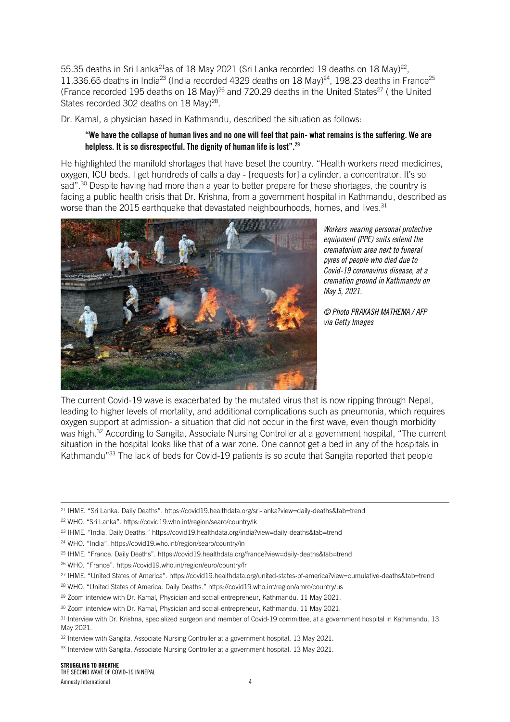55.35 deaths in Sri Lanka<sup>21</sup>as of 18 May 2021 (Sri Lanka recorded 19 deaths on 18 May)<sup>22</sup>, 11,336.65 deaths in India<sup>23</sup> (India recorded 4329 deaths on 18 May)<sup>24</sup>, 198.23 deaths in France<sup>25</sup> (France recorded 195 deaths on 18 May)<sup>26</sup> and 720.29 deaths in the United States<sup>27</sup> (the United States recorded 302 deaths on 18 May)<sup>28</sup>.

Dr. Kamal, a physician based in Kathmandu, described the situation as follows:

#### "We have the collapse of human lives and no one will feel that pain- what remains is the suffering. We are helpless. It is so disrespectful. The dignity of human life is lost".<sup>29</sup>

He highlighted the manifold shortages that have beset the country. "Health workers need medicines, oxygen, ICU beds. I get hundreds of calls a day - [requests for] a cylinder, a concentrator. It's so sad".<sup>30</sup> Despite having had more than a year to better prepare for these shortages, the country is facing a public health crisis that Dr. Krishna, from a government hospital in Kathmandu, described as worse than the 2015 earthquake that devastated neighbourhoods, homes, and lives.<sup>31</sup>



*Workers wearing personal protective equipment (PPE) suits extend the crematorium area next to funeral pyres of people who died due to Covid-19 coronavirus disease, at a cremation ground in Kathmandu on May 5, 2021.* 

*© Photo PRAKASH MATHEMA / AFP via Getty Images*

The current Covid-19 wave is exacerbated by the mutated virus that is now ripping through Nepal, leading to higher levels of mortality, and additional complications such as pneumonia, which requires oxygen support at admission- a situation that did not occur in the first wave, even though morbidity was high.<sup>32</sup> According to Sangita, Associate Nursing Controller at a government hospital, "The current situation in the hospital looks like that of a war zone. One cannot get a bed in any of the hospitals in Kathmandu"<sup>33</sup> The lack of beds for Covid-19 patients is so acute that Sangita reported that people

<sup>21</sup> IHME. "Sri Lanka. Daily Deaths". https://covid19.healthdata.org/sri-lanka?view=daily-deaths&tab=trend

<sup>22</sup> WHO. "Sri Lanka". https://covid19.who.int/region/searo/country/lk

<sup>23</sup> IHME. "India. Daily Deaths." https://covid19.healthdata.org/india?view=daily-deaths&tab=trend

<sup>24</sup> WHO. "India". https://covid19.who.int/region/searo/country/in

<sup>25</sup> IHME. "France. Daily Deaths". https://covid19.healthdata.org/france?view=daily-deaths&tab=trend

<sup>26</sup> WHO. "France". https://covid19.who.int/region/euro/country/fr

<sup>27</sup> IHME. "United States of America". https://covid19.healthdata.org/united-states-of-america?view=cumulative-deaths&tab=trend

<sup>28</sup> WHO. "United States of America. Daily Deaths." https://covid19.who.int/region/amro/country/us

<sup>&</sup>lt;sup>29</sup> Zoom interview with Dr. Kamal, Physician and social-entrepreneur, Kathmandu. 11 May 2021.

<sup>&</sup>lt;sup>30</sup> Zoom interview with Dr. Kamal, Physician and social-entrepreneur, Kathmandu, 11 May 2021.

<sup>&</sup>lt;sup>31</sup> Interview with Dr. Krishna, specialized surgeon and member of Covid-19 committee, at a government hospital in Kathmandu. 13 May 2021.

<sup>&</sup>lt;sup>32</sup> Interview with Sangita, Associate Nursing Controller at a government hospital. 13 May 2021.

<sup>33</sup> Interview with Sangita, Associate Nursing Controller at a government hospital. 13 May 2021.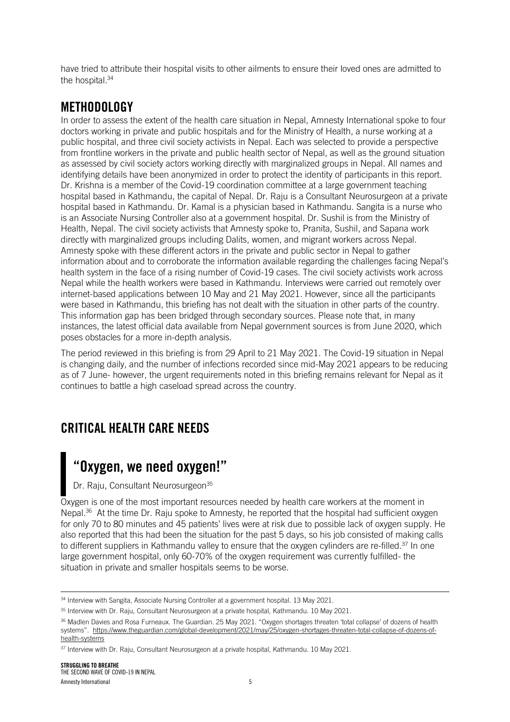have tried to attribute their hospital visits to other ailments to ensure their loved ones are admitted to the hospital.<sup>34</sup>

## METHODOLOGY

In order to assess the extent of the health care situation in Nepal, Amnesty International spoke to four doctors working in private and public hospitals and for the Ministry of Health, a nurse working at a public hospital, and three civil society activists in Nepal. Each was selected to provide a perspective from frontline workers in the private and public health sector of Nepal, as well as the ground situation as assessed by civil society actors working directly with marginalized groups in Nepal. All names and identifying details have been anonymized in order to protect the identity of participants in this report. Dr. Krishna is a member of the Covid-19 coordination committee at a large government teaching hospital based in Kathmandu, the capital of Nepal. Dr. Raju is a Consultant Neurosurgeon at a private hospital based in Kathmandu. Dr. Kamal is a physician based in Kathmandu. Sangita is a nurse who is an Associate Nursing Controller also at a government hospital. Dr. Sushil is from the Ministry of Health, Nepal. The civil society activists that Amnesty spoke to, Pranita, Sushil, and Sapana work directly with marginalized groups including Dalits, women, and migrant workers across Nepal. Amnesty spoke with these different actors in the private and public sector in Nepal to gather information about and to corroborate the information available regarding the challenges facing Nepal's health system in the face of a rising number of Covid-19 cases. The civil society activists work across Nepal while the health workers were based in Kathmandu. Interviews were carried out remotely over internet-based applications between 10 May and 21 May 2021. However, since all the participants were based in Kathmandu, this briefing has not dealt with the situation in other parts of the country. This information gap has been bridged through secondary sources. Please note that, in many instances, the latest official data available from Nepal government sources is from June 2020, which poses obstacles for a more in-depth analysis.

The period reviewed in this briefing is from 29 April to 21 May 2021. The Covid-19 situation in Nepal is changing daily, and the number of infections recorded since mid-May 2021 appears to be reducing as of 7 June- however, the urgent requirements noted in this briefing remains relevant for Nepal as it continues to battle a high caseload spread across the country.

## CRITICAL HEALTH CARE NEEDS

# "Oxygen, we need oxygen!"

Dr. Raju, Consultant Neurosurgeon<sup>35</sup>

Oxygen is one of the most important resources needed by health care workers at the moment in Nepal.<sup>36</sup> At the time Dr. Raju spoke to Amnesty, he reported that the hospital had sufficient oxygen for only 70 to 80 minutes and 45 patients' lives were at risk due to possible lack of oxygen supply. He also reported that this had been the situation for the past 5 days, so his job consisted of making calls to different suppliers in Kathmandu valley to ensure that the oxygen cylinders are re-filled.<sup>37</sup> In one large government hospital, only 60-70% of the oxygen requirement was currently fulfilled- the situation in private and smaller hospitals seems to be worse.

<sup>34</sup> Interview with Sangita, Associate Nursing Controller at a government hospital. 13 May 2021.

<sup>&</sup>lt;sup>35</sup> Interview with Dr. Raju, Consultant Neurosurgeon at a private hospital, Kathmandu. 10 May 2021.

<sup>36</sup> Madlen Davies and Rosa Furneaux. The Guardian. 25 May 2021. "Oxygen shortages threaten 'total collapse' of dozens of health systems". [https://www.theguardian.com/global-development/2021/may/25/oxygen-shortages-threaten-total-collapse-of-dozens-of](https://www.theguardian.com/global-development/2021/may/25/oxygen-shortages-threaten-total-collapse-of-dozens-of-health-systems)[health-systems](https://www.theguardian.com/global-development/2021/may/25/oxygen-shortages-threaten-total-collapse-of-dozens-of-health-systems) 

<sup>37</sup> Interview with Dr. Raju, Consultant Neurosurgeon at a private hospital, Kathmandu. 10 May 2021.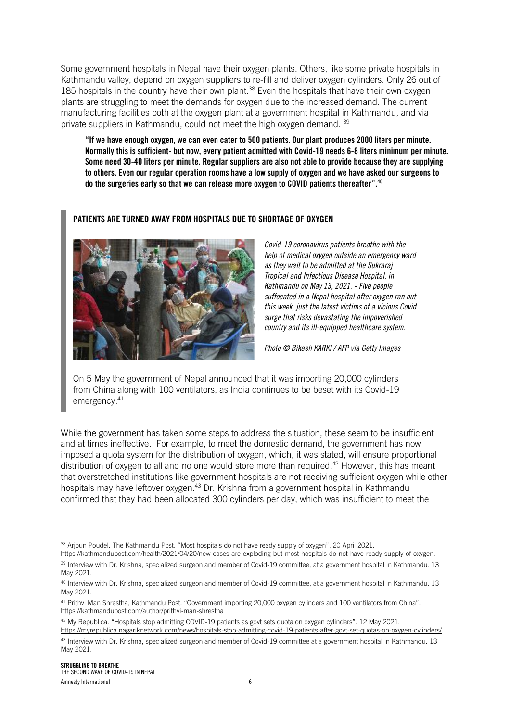Some government hospitals in Nepal have their oxygen plants. Others, like some private hospitals in Kathmandu valley, depend on oxygen suppliers to re-fill and deliver oxygen cylinders. Only 26 out of 185 hospitals in the country have their own plant.<sup>38</sup> Even the hospitals that have their own oxygen plants are struggling to meet the demands for oxygen due to the increased demand. The current manufacturing facilities both at the oxygen plant at a government hospital in Kathmandu, and via private suppliers in Kathmandu, could not meet the high oxygen demand. <sup>39</sup>

"If we have enough oxygen, we can even cater to 500 patients. Our plant produces 2000 liters per minute. Normally this is sufficient- but now, every patient admitted with Covid-19 needs 6-8 liters minimum per minute. Some need 30-40 liters per minute. Regular suppliers are also not able to provide because they are supplying to others. Even our regular operation rooms have a low supply of oxygen and we have asked our surgeons to do the surgeries early so that we can release more oxygen to COVID patients thereafter".<sup>40</sup>

#### PATIENTS ARE TURNED AWAY FROM HOSPITALS DUE TO SHORTAGE OF OXYGEN



*Covid-19 coronavirus patients breathe with the help of medical oxygen outside an emergency ward as they wait to be admitted at the Sukraraj Tropical and Infectious Disease Hospital, in Kathmandu on May 13, 2021. - Five people suffocated in a Nepal hospital after oxygen ran out this week, just the latest victims of a vicious Covid surge that risks devastating the impoverished country and its ill-equipped healthcare system.* 

*Photo © Bikash KARKI / AFP via Getty Images*

On 5 May the government of Nepal announced that it was importing 20,000 cylinders from China along with 100 ventilators, as India continues to be beset with its Covid-19 emergency.<sup>41</sup>

While the government has taken some steps to address the situation, these seem to be insufficient and at times ineffective. For example, to meet the domestic demand, the government has now imposed a quota system for the distribution of oxygen, which, it was stated, will ensure proportional distribution of oxygen to all and no one would store more than required.<sup>42</sup> However, this has meant that overstretched institutions like government hospitals are not receiving sufficient oxygen while other hospitals may have leftover oxygen.<sup>43</sup> Dr. Krishna from a government hospital in Kathmandu confirmed that they had been allocated 300 cylinders per day, which was insufficient to meet the

<sup>&</sup>lt;sup>38</sup> Arjoun Poudel. The Kathmandu Post. "Most hospitals do not have ready supply of oxygen". 20 April 2021.

[https://kathmandupost.com/health/2021/04/20/new-cases-are-exploding-but-most-hospitals-do-not-have-ready-supply-of-oxygen.](https://kathmandupost.com/health/2021/04/20/new-cases-are-exploding-but-most-hospitals-do-not-have-ready-supply-of-oxygen) 39 Interview with Dr. Krishna, specialized surgeon and member of Covid-19 committee, at a government hospital in Kathmandu. 13 May 2021.

<sup>40</sup> Interview with Dr. Krishna, specialized surgeon and member of Covid-19 committee, at a government hospital in Kathmandu. 13 May 2021.

<sup>&</sup>lt;sup>41</sup> Prithvi Man Shrestha, Kathmandu Post. "Government importing 20,000 oxygen cylinders and 100 ventilators from China". https://kathmandupost.com/author/prithvi-man-shrestha

<sup>&</sup>lt;sup>42</sup> My Republica. "Hospitals stop admitting COVID-19 patients as govt sets quota on oxygen cylinders". 12 May 2021. <https://myrepublica.nagariknetwork.com/news/hospitals-stop-admitting-covid-19-patients-after-govt-set-quotas-on-oxygen-cylinders/>

<sup>43</sup> Interview with Dr. Krishna, specialized surgeon and member of Covid-19 committee at a government hospital in Kathmandu. 13 May 2021.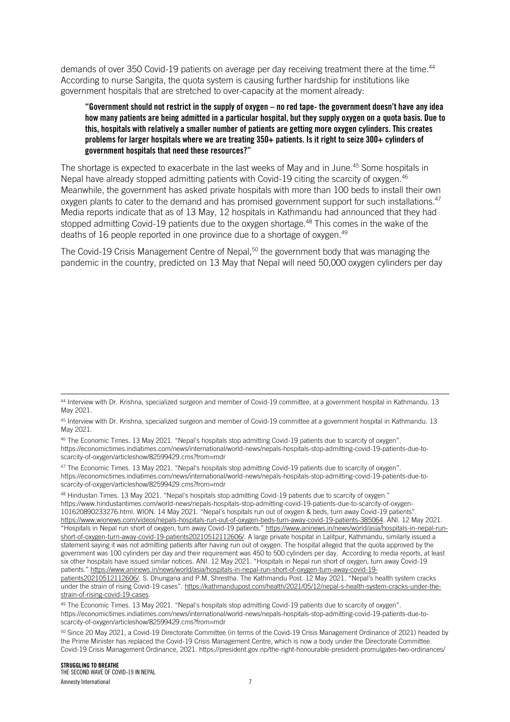demands of over 350 Covid-19 patients on average per day receiving treatment there at the time. $^\mathrm{44}$ According to nurse Sangita, the quota system is causing further hardship for institutions like government hospitals that are stretched to over-capacity at the moment already:

"Government should not restrict in the supply of oxygen – no red tape- the government doesn't have any idea how many patients are being admitted in a particular hospital, but they supply oxygen on a quota basis. Due to this, hospitals with relatively a smaller number of patients are getting more oxygen cylinders. This creates problems for larger hospitals where we are treating 350+ patients. Is it right to seize 300+ cylinders of government hospitals that need these resources?"

The shortage is expected to exacerbate in the last weeks of May and in June.<sup>45</sup> Some hospitals in Nepal have already stopped admitting patients with Covid-19 citing the scarcity of oxygen.<sup>46</sup> Meanwhile, the government has asked private hospitals with more than 100 beds to install their own oxygen plants to cater to the demand and has promised government support for such installations.<sup>47</sup> Media reports indicate that as of 13 May, 12 hospitals in Kathmandu had announced that they had stopped admitting Covid-19 patients due to the oxygen shortage.<sup>48</sup> This comes in the wake of the deaths of 16 people reported in one province due to a shortage of oxygen.<sup>49</sup>

The Covid-19 Crisis Management Centre of Nepal,<sup>50</sup> the government body that was managing the pandemic in the country, predicted on 13 May that Nepal will need 50,000 oxygen cylinders per day

47 The Economic Times. 13 May 2021. "Nepal's hospitals stop admitting Covid-19 patients due to scarcity of oxygen". https://economictimes.indiatimes.com/news/international/world-news/nepals-hospitals-stop-admitting-covid-19-patients-due-toscarcity-of-oxygen/articleshow/82599429.cms?from=mdr

<sup>48</sup> Hindustan Times. 13 May 2021. "Nepal's hospitals stop admitting Covid-19 patients due to scarcity of oxygen." https://www.hindustantimes.com/world-news/nepals-hospitals-stop-admitting-covid-19-patients-due-to-scarcity-of-oxygen-101620890233276.html. WION. 14 May 2021. "Nepal's hospitals run out of oxygen & beds, turn away Covid-19 patients". [https://www.wionews.com/videos/nepals-hospitals-run-out-of-oxygen-beds-turn-away-covid-19-patients-385064.](https://www.wionews.com/videos/nepals-hospitals-run-out-of-oxygen-beds-turn-away-covid-19-patients-385064) ANI. 12 May 2021. "Hospitals in Nepal run short of oxygen, turn away Covid-19 patients." [https://www.aninews.in/news/world/asia/hospitals-in-nepal-run](https://www.aninews.in/news/world/asia/hospitals-in-nepal-run-short-of-oxygen-turn-away-covid-19-patients20210512112606/)[short-of-oxygen-turn-away-covid-19-patients20210512112606/.](https://www.aninews.in/news/world/asia/hospitals-in-nepal-run-short-of-oxygen-turn-away-covid-19-patients20210512112606/) A large private hospital in Lalitpur, Kathmandu, similarly issued a statement saying it was not admitting patients after having run out of oxygen. The hospital alleged that the quota approved by the government was 100 cylinders per day and their requirement was 450 to 500 cylinders per day. According to media reports, at least six other hospitals have issued similar notices. ANI. 12 May 2021. "Hospitals in Nepal run short of oxygen, turn away Covid-19 patients." [https://www.aninews.in/news/world/asia/hospitals-in-nepal-run-short-of-oxygen-turn-away-covid-19-](https://www.aninews.in/news/world/asia/hospitals-in-nepal-run-short-of-oxygen-turn-away-covid-19-patients20210512112606/)

[patients20210512112606/.](https://www.aninews.in/news/world/asia/hospitals-in-nepal-run-short-of-oxygen-turn-away-covid-19-patients20210512112606/) S. Dhungana and P.M. Shrestha. The Kathmandu Post. 12 May 2021. "Nepal's health system cracks under the strain of rising Covid-19 cases". [https://kathmandupost.com/health/2021/05/12/nepal-s-health-system-cracks-under-the](https://kathmandupost.com/health/2021/05/12/nepal-s-health-system-cracks-under-the-strain-of-rising-covid-19-cases)[strain-of-rising-covid-19-cases.](https://kathmandupost.com/health/2021/05/12/nepal-s-health-system-cracks-under-the-strain-of-rising-covid-19-cases)

<sup>49</sup> The Economic Times. 13 May 2021. "Nepal's hospitals stop admitting Covid-19 patients due to scarcity of oxygen". https://economictimes.indiatimes.com/news/international/world-news/nepals-hospitals-stop-admitting-covid-19-patients-due-toscarcity-of-oxygen/articleshow/82599429.cms?from=mdr

<sup>44</sup> Interview with Dr. Krishna, specialized surgeon and member of Covid-19 committee, at a government hospital in Kathmandu. 13 May 2021.

<sup>&</sup>lt;sup>45</sup> Interview with Dr. Krishna, specialized surgeon and member of Covid-19 committee at a government hospital in Kathmandu. 13 May 2021.

<sup>46</sup> The Economic Times. 13 May 2021. "Nepal's hospitals stop admitting Covid-19 patients due to scarcity of oxygen". https://economictimes.indiatimes.com/news/international/world-news/nepals-hospitals-stop-admitting-covid-19-patients-due-toscarcity-of-oxygen/articleshow/82599429.cms?from=mdr

<sup>50</sup> Since 20 May 2021, a Covid-19 Directorate Committee (in terms of the Covid-19 Crisis Management Ordinance of 2021) headed by the Prime Minister has replaced the Covid-19 Crisis Management Centre, which is now a body under the Directorate Committee. Covid-19 Crisis Management Ordinance, 2021. https://president.gov.np/the-right-honourable-president-promulgates-two-ordinances/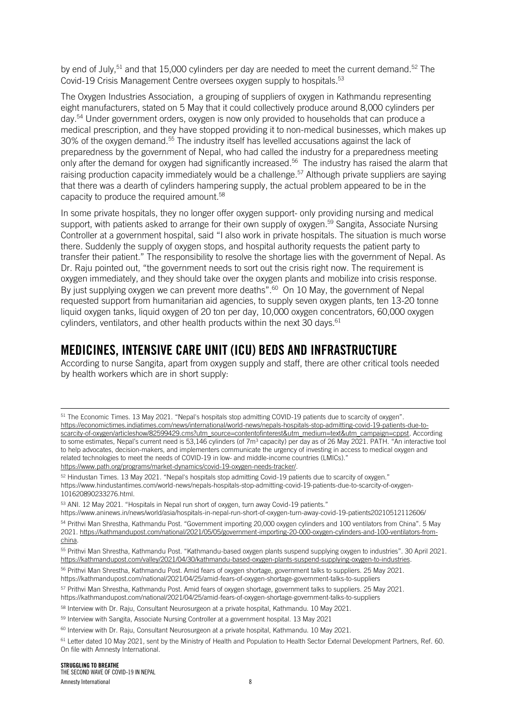by end of July,<sup>51</sup> and that 15,000 cylinders per day are needed to meet the current demand.<sup>52</sup> The Covid-19 Crisis Management Centre oversees oxygen supply to hospitals.<sup>53</sup>

The Oxygen Industries Association, a grouping of suppliers of oxygen in Kathmandu representing eight manufacturers, stated on 5 May that it could collectively produce around 8,000 cylinders per day.<sup>54</sup> Under government orders, oxygen is now only provided to households that can produce a medical prescription, and they have stopped providing it to non-medical businesses, which makes up 30% of the oxygen demand.<sup>55</sup> The industry itself has levelled accusations against the lack of preparedness by the government of Nepal, who had called the industry for a preparedness meeting only after the demand for oxygen had significantly increased.<sup>56</sup> The industry has raised the alarm that raising production capacity immediately would be a challenge.<sup>57</sup> Although private suppliers are saying that there was a dearth of cylinders hampering supply, the actual problem appeared to be in the capacity to produce the required amount.<sup>58</sup>

In some private hospitals, they no longer offer oxygen support- only providing nursing and medical support, with patients asked to arrange for their own supply of oxygen.<sup>59</sup> Sangita, Associate Nursing Controller at a government hospital, said "I also work in private hospitals. The situation is much worse there. Suddenly the supply of oxygen stops, and hospital authority requests the patient party to transfer their patient." The responsibility to resolve the shortage lies with the government of Nepal. As Dr. Raju pointed out, "the government needs to sort out the crisis right now. The requirement is oxygen immediately, and they should take over the oxygen plants and mobilize into crisis response. By just supplying oxygen we can prevent more deaths".<sup>60</sup> On 10 May, the government of Nepal requested support from humanitarian aid agencies, to supply seven oxygen plants, ten 13-20 tonne liquid oxygen tanks, liquid oxygen of 20 ton per day, 10,000 oxygen concentrators, 60,000 oxygen cylinders, ventilators, and other health products within the next 30 days. $^{61}$ 

## MEDICINES, INTENSIVE CARE UNIT (ICU) BEDS AND INFRASTRUCTURE

According to nurse Sangita, apart from oxygen supply and staff, there are other critical tools needed by health workers which are in short supply:

<sup>51</sup> The Economic Times. 13 May 2021. "Nepal's hospitals stop admitting COVID-19 patients due to scarcity of oxygen". [https://economictimes.indiatimes.com/news/international/world-news/nepals-hospitals-stop-admitting-covid-19-patients-due-to](https://economictimes.indiatimes.com/news/international/world-news/nepals-hospitals-stop-admitting-covid-19-patients-due-to-scarcity-of-oxygen/articleshow/82599429.cms?utm_source=contentofinterest&utm_medium=text&utm_campaign=cppst)[scarcity-of-oxygen/articleshow/82599429.cms?utm\\_source=contentofinterest&utm\\_medium=text&utm\\_campaign=cppst.](https://economictimes.indiatimes.com/news/international/world-news/nepals-hospitals-stop-admitting-covid-19-patients-due-to-scarcity-of-oxygen/articleshow/82599429.cms?utm_source=contentofinterest&utm_medium=text&utm_campaign=cppst) According to some estimates, Nepal's current need is 53,146 cylinders (of 7m<sup>3</sup> capacity) per day as of 26 May 2021. PATH. "An interactive tool to help advocates, decision-makers, and implementers communicate the urgency of investing in access to medical oxygen and related technologies to meet the needs of COVID-19 in low- and middle-income countries (LMICs)." [https://www.path.org/programs/market-dynamics/covid-19-oxygen-needs-tracker/.](https://www.path.org/programs/market-dynamics/covid-19-oxygen-needs-tracker/)

<sup>52</sup> Hindustan Times. 13 May 2021. "Nepal's hospitals stop admitting Covid-19 patients due to scarcity of oxygen." https://www.hindustantimes.com/world-news/nepals-hospitals-stop-admitting-covid-19-patients-due-to-scarcity-of-oxygen-101620890233276.html.

<sup>53</sup> ANI. 12 May 2021. "Hospitals in Nepal run short of oxygen, turn away Covid-19 patients."

https://www.aninews.in/news/world/asia/hospitals-in-nepal-run-short-of-oxygen-turn-away-covid-19-patients20210512112606/

<sup>54</sup> Prithvi Man Shrestha, Kathmandu Post. "Government importing 20,000 oxygen cylinders and 100 ventilators from China". 5 May 2021. [https://kathmandupost.com/national/2021/05/05/government-importing-20-000-oxygen-cylinders-and-100-ventilators-from](https://kathmandupost.com/national/2021/05/05/government-importing-20-000-oxygen-cylinders-and-100-ventilators-from-china)[china.](https://kathmandupost.com/national/2021/05/05/government-importing-20-000-oxygen-cylinders-and-100-ventilators-from-china) 

<sup>55</sup> Prithvi Man Shrestha, Kathmandu Post. "Kathmandu-based oxygen plants suspend supplying oxygen to industries". 30 April 2021. [https://kathmandupost.com/valley/2021/04/30/kathmandu-based-oxygen-plants-suspend-supplying-oxygen-to-industries.](https://kathmandupost.com/valley/2021/04/30/kathmandu-based-oxygen-plants-suspend-supplying-oxygen-to-industries)

<sup>56</sup> Prithvi Man Shrestha, Kathmandu Post. Amid fears of oxygen shortage, government talks to suppliers. 25 May 2021. https://kathmandupost.com/national/2021/04/25/amid-fears-of-oxygen-shortage-government-talks-to-suppliers

<sup>57</sup> Prithvi Man Shrestha, Kathmandu Post. Amid fears of oxygen shortage, government talks to suppliers. 25 May 2021. https://kathmandupost.com/national/2021/04/25/amid-fears-of-oxygen-shortage-government-talks-to-suppliers

<sup>58</sup> Interview with Dr. Raju, Consultant Neurosurgeon at a private hospital, Kathmandu. 10 May 2021.

<sup>59</sup> Interview with Sangita, Associate Nursing Controller at a government hospital. 13 May 2021

 $60$  Interview with Dr. Raju, Consultant Neurosurgeon at a private hospital, Kathmandu. 10 May 2021.

<sup>61</sup> Letter dated 10 May 2021, sent by the Ministry of Health and Population to Health Sector External Development Partners, Ref. 60. On file with Amnesty International.

STRUGGLING TO BREATHE THE SECOND WAVE OF COVID-19 IN NEPAL Amnesty International 8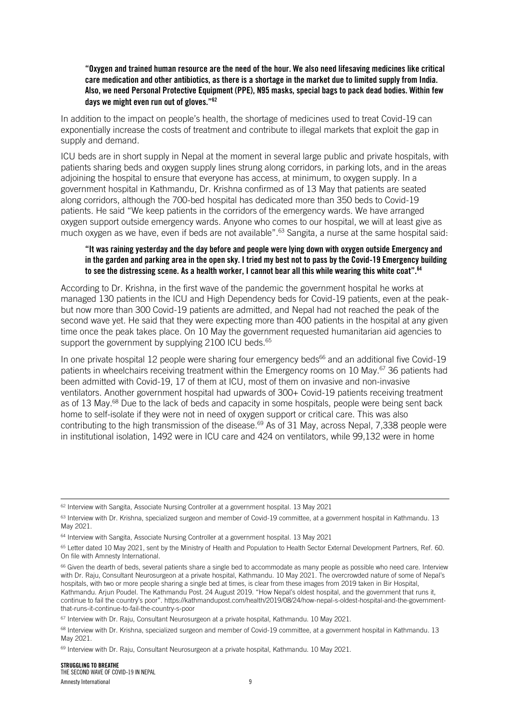"Oxygen and trained human resource are the need of the hour. We also need lifesaving medicines like critical care medication and other antibiotics, as there is a shortage in the market due to limited supply from India. Also, we need Personal Protective Equipment (PPE), N95 masks, special bags to pack dead bodies. Within few days we might even run out of gloves."<sup>62</sup>

In addition to the impact on people's health, the shortage of medicines used to treat Covid-19 can exponentially increase the costs of treatment and contribute to illegal markets that exploit the gap in supply and demand.

ICU beds are in short supply in Nepal at the moment in several large public and private hospitals, with patients sharing beds and oxygen supply lines strung along corridors, in parking lots, and in the areas adjoining the hospital to ensure that everyone has access, at minimum, to oxygen supply. In a government hospital in Kathmandu, Dr. Krishna confirmed as of 13 May that patients are seated along corridors, although the 700-bed hospital has dedicated more than 350 beds to Covid-19 patients. He said "We keep patients in the corridors of the emergency wards. We have arranged oxygen support outside emergency wards. Anyone who comes to our hospital, we will at least give as much oxygen as we have, even if beds are not available".<sup>63</sup> Sangita, a nurse at the same hospital said:

#### "It was raining yesterday and the day before and people were lying down with oxygen outside Emergency and in the garden and parking area in the open sky. I tried my best not to pass by the Covid-19 Emergency building to see the distressing scene. As a health worker, I cannot bear all this while wearing this white coat".<sup>64</sup>

According to Dr. Krishna, in the first wave of the pandemic the government hospital he works at managed 130 patients in the ICU and High Dependency beds for Covid-19 patients, even at the peakbut now more than 300 Covid-19 patients are admitted, and Nepal had not reached the peak of the second wave yet. He said that they were expecting more than 400 patients in the hospital at any given time once the peak takes place. On 10 May the government requested humanitarian aid agencies to support the government by supplying 2100 ICU beds.<sup>65</sup>

In one private hospital 12 people were sharing four emergency beds $66$  and an additional five Covid-19 patients in wheelchairs receiving treatment within the Emergency rooms on 10 May.<sup>67</sup> 36 patients had been admitted with Covid-19, 17 of them at ICU, most of them on invasive and non-invasive ventilators. Another government hospital had upwards of 300+ Covid-19 patients receiving treatment as of 13 May.<sup>68</sup> Due to the lack of beds and capacity in some hospitals, people were being sent back home to self-isolate if they were not in need of oxygen support or critical care. This was also contributing to the high transmission of the disease.<sup>69</sup> As of 31 May, across Nepal, 7,338 people were in institutional isolation, 1492 were in ICU care and 424 on ventilators, while 99,132 were in home

<sup>62</sup> Interview with Sangita, Associate Nursing Controller at a government hospital. 13 May 2021

 $63$  Interview with Dr. Krishna, specialized surgeon and member of Covid-19 committee, at a government hospital in Kathmandu. 13 May 2021.

<sup>&</sup>lt;sup>64</sup> Interview with Sangita, Associate Nursing Controller at a government hospital. 13 May 2021

<sup>&</sup>lt;sup>65</sup> Letter dated 10 May 2021, sent by the Ministry of Health and Population to Health Sector External Development Partners, Ref. 60. On file with Amnesty International.

<sup>66</sup> Given the dearth of beds, several patients share a single bed to accommodate as many people as possible who need care. Interview with Dr. Raju, Consultant Neurosurgeon at a private hospital, Kathmandu. 10 May 2021. The overcrowded nature of some of Nepal's hospitals, with two or more people sharing a single bed at times, is clear from these images from 2019 taken in Bir Hospital, Kathmandu. Arjun Poudel. The Kathmandu Post. 24 August 2019. "How Nepal's oldest hospital, and the government that runs it, continue to fail the country's poor". https://kathmandupost.com/health/2019/08/24/how-nepal-s-oldest-hospital-and-the-governmentthat-runs-it-continue-to-fail-the-country-s-poor

<sup>67</sup> Interview with Dr. Raju, Consultant Neurosurgeon at a private hospital, Kathmandu. 10 May 2021.

<sup>&</sup>lt;sup>68</sup> Interview with Dr. Krishna, specialized surgeon and member of Covid-19 committee, at a government hospital in Kathmandu. 13 May 2021.

<sup>69</sup> Interview with Dr. Raju, Consultant Neurosurgeon at a private hospital, Kathmandu. 10 May 2021.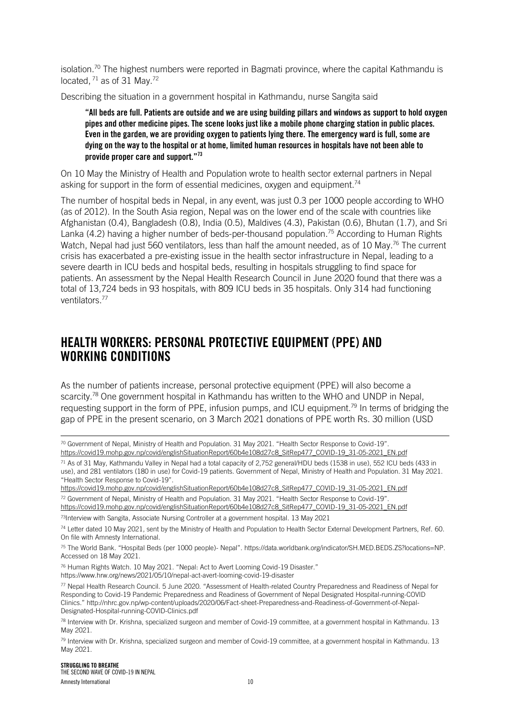isolation.<sup>70</sup> The highest numbers were reported in Bagmati province, where the capital Kathmandu is located,  $71$  as of 31 May.<sup>72</sup>

Describing the situation in a government hospital in Kathmandu, nurse Sangita said

"All beds are full. Patients are outside and we are using building pillars and windows as support to hold oxygen pipes and other medicine pipes. The scene looks just like a mobile phone charging station in public places. Even in the garden, we are providing oxygen to patients lying there. The emergency ward is full, some are dying on the way to the hospital or at home, limited human resources in hospitals have not been able to provide proper care and support."<sup>73</sup>

On 10 May the Ministry of Health and Population wrote to health sector external partners in Nepal asking for support in the form of essential medicines, oxygen and equipment.<sup>74</sup>

The number of hospital beds in Nepal, in any event, was just 0.3 per 1000 people according to WHO (as of 2012). In the South Asia region, Nepal was on the lower end of the scale with countries like Afghanistan (0.4), Bangladesh (0.8), India (0.5), Maldives (4.3), Pakistan (0.6), Bhutan (1.7), and Sri Lanka (4.2) having a higher number of beds-per-thousand population.<sup>75</sup> According to Human Rights Watch, Nepal had just 560 ventilators, less than half the amount needed, as of 10 May.<sup>76</sup> The current crisis has exacerbated a pre-existing issue in the health sector infrastructure in Nepal, leading to a severe dearth in ICU beds and hospital beds, resulting in hospitals struggling to find space for patients. An assessment by the Nepal Health Research Council in June 2020 found that there was a total of 13,724 beds in 93 hospitals, with 809 ICU beds in 35 hospitals. Only 314 had functioning ventilators.<sup>77</sup>

## HEALTH WORKERS: PERSONAL PROTECTIVE EQUIPMENT (PPE) AND WORKING CONDITIONS

As the number of patients increase, personal protective equipment (PPE) will also become a scarcity.<sup>78</sup> One government hospital in Kathmandu has written to the WHO and UNDP in Nepal, requesting support in the form of PPE, infusion pumps, and ICU equipment.<sup>79</sup> In terms of bridging the gap of PPE in the present scenario, on 3 March 2021 donations of PPE worth Rs. 30 million (USD

<sup>70</sup> Government of Nepal, Ministry of Health and Population. 31 May 2021. "Health Sector Response to Covid-19". [https://covid19.mohp.gov.np/covid/englishSituationReport/60b4e108d27c8\\_SitRep477\\_COVID-19\\_31-05-2021\\_EN.pdf](https://covid19.mohp.gov.np/covid/englishSituationReport/60b4e108d27c8_SitRep477_COVID-19_31-05-2021_EN.pdf)

<sup>71</sup> As of 31 May, Kathmandu Valley in Nepal had a total capacity of 2,752 general/HDU beds (1538 in use), 552 ICU beds (433 in use), and 281 ventilators (180 in use) for Covid-19 patients. Government of Nepal, Ministry of Health and Population. 31 May 2021. "Health Sector Response to Covid-19".

[https://covid19.mohp.gov.np/covid/englishSituationReport/60b4e108d27c8\\_SitRep477\\_COVID-19\\_31-05-2021\\_EN.pdf](https://covid19.mohp.gov.np/covid/englishSituationReport/60b4e108d27c8_SitRep477_COVID-19_31-05-2021_EN.pdf) <sup>72</sup> Government of Nepal, Ministry of Health and Population. 31 May 2021. "Health Sector Response to Covid-19".

[https://covid19.mohp.gov.np/covid/englishSituationReport/60b4e108d27c8\\_SitRep477\\_COVID-19\\_31-05-2021\\_EN.pdf](https://covid19.mohp.gov.np/covid/englishSituationReport/60b4e108d27c8_SitRep477_COVID-19_31-05-2021_EN.pdf)

73Interview with Sangita, Associate Nursing Controller at a government hospital. 13 May 2021

<sup>74</sup> Letter dated 10 May 2021, sent by the Ministry of Health and Population to Health Sector External Development Partners, Ref. 60. On file with Amnesty International.

<sup>75</sup> The World Bank. "Hospital Beds (per 1000 people)- Nepal". [https://data.worldbank.org/indicator/SH.MED.BEDS.ZS?locations=NP.](https://data.worldbank.org/indicator/SH.MED.BEDS.ZS?locations=NP)  Accessed on 18 May 2021.

<sup>76</sup> Human Rights Watch. 10 May 2021. "Nepal: Act to Avert Looming Covid-19 Disaster."

https://www.hrw.org/news/2021/05/10/nepal-act-avert-looming-covid-19-disaster

<sup>77</sup> Nepal Health Research Council. 5 June 2020. "Assessment of Health-related Country Preparedness and Readiness of Nepal for Responding to Covid-19 Pandemic Preparedness and Readiness of Government of Nepal Designated Hospital-running-COVID Clinics." http://nhrc.gov.np/wp-content/uploads/2020/06/Fact-sheet-Preparedness-and-Readiness-of-Government-of-Nepal-Designated-Hospital-running-COVID-Clinics.pdf

78 Interview with Dr. Krishna, specialized surgeon and member of Covid-19 committee, at a government hospital in Kathmandu. 13 May 2021.

<sup>79</sup> Interview with Dr. Krishna, specialized surgeon and member of Covid-19 committee, at a government hospital in Kathmandu. 13 May 2021.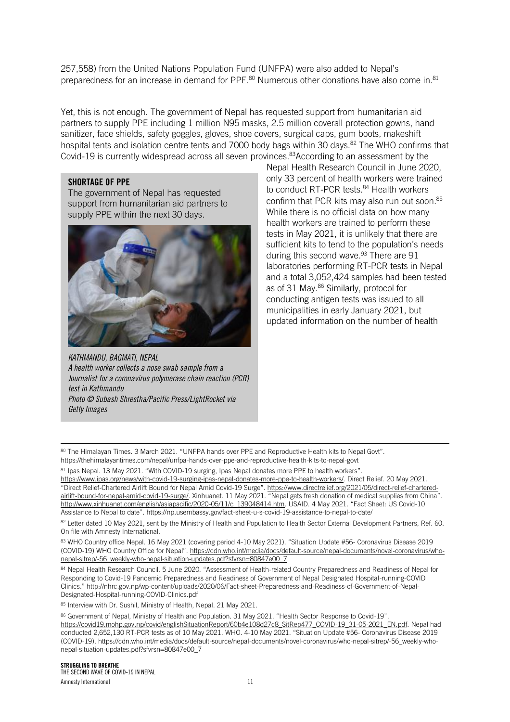257,558) from the United Nations Population Fund (UNFPA) were also added to Nepal's preparedness for an increase in demand for PPE.<sup>80</sup> Numerous other donations have also come in.<sup>81</sup>

Yet, this is not enough. The government of Nepal has requested support from humanitarian aid partners to supply PPE including 1 million N95 masks, 2.5 million coverall protection gowns, hand sanitizer, face shields, safety goggles, gloves, shoe covers, surgical caps, gum boots, makeshift hospital tents and isolation centre tents and 7000 body bags within 30 days.<sup>82</sup> The WHO confirms that Covid-19 is currently widespread across all seven provinces.<sup>83</sup>According to an assessment by the

#### SHORTAGE OF PPE

The government of Nepal has requested support from humanitarian aid partners to supply PPE within the next 30 days.



*KATHMANDU, BAGMATI, NEPAL A health worker collects a nose swab sample from a Journalist for a coronavirus polymerase chain reaction (PCR) test in Kathmandu Photo © Subash Shrestha/Pacific Press/LightRocket via Getty Images*

Nepal Health Research Council in June 2020, only 33 percent of health workers were trained to conduct RT-PCR tests.<sup>84</sup> Health workers confirm that PCR kits may also run out soon.<sup>85</sup> While there is no official data on how many health workers are trained to perform these tests in May 2021, it is unlikely that there are sufficient kits to tend to the population's needs during this second wave.<sup>93</sup> There are 91 laboratories performing RT-PCR tests in Nepal and a total 3,052,424 samples had been tested as of 31 May.<sup>86</sup> Similarly, protocol for conducting antigen tests was issued to all municipalities in early January 2021, but updated information on the number of health

80 The Himalayan Times. 3 March 2021. "UNFPA hands over PPE and Reproductive Health kits to Nepal Govt". https://thehimalayantimes.com/nepal/unfpa-hands-over-ppe-and-reproductive-health-kits-to-nepal-govt

81 Ipas Nepal. 13 May 2021. "With COVID-19 surging, Ipas Nepal donates more PPE to health workers".

[https://www.ipas.org/news/with-covid-19-surging-ipas-nepal-donates-more-ppe-to-health-workers/.](https://www.ipas.org/news/with-covid-19-surging-ipas-nepal-donates-more-ppe-to-health-workers/) Direct Relief. 20 May 2021. "Direct Relief-Chartered Airlift Bound for Nepal Amid Covid-19 Surge". [https://www.directrelief.org/2021/05/direct-relief-chartered](https://www.directrelief.org/2021/05/direct-relief-chartered-airlift-bound-for-nepal-amid-covid-19-surge/)[airlift-bound-for-nepal-amid-covid-19-surge/](https://www.directrelief.org/2021/05/direct-relief-chartered-airlift-bound-for-nepal-amid-covid-19-surge/). Xinhuanet. 11 May 2021. "Nepal gets fresh donation of medical supplies from China". [http://www.xinhuanet.com/english/asiapacific/2020-05/11/c\\_139048414.htm](http://www.xinhuanet.com/english/asiapacific/2020-05/11/c_139048414.htm). USAID. 4 May 2021. "Fact Sheet: US Covid-10 Assistance to Nepal to date". https://np.usembassy.gov/fact-sheet-u-s-covid-19-assistance-to-nepal-to-date/

82 Letter dated 10 May 2021, sent by the Ministry of Health and Population to Health Sector External Development Partners, Ref. 60. On file with Amnesty International.

83 WHO Country office Nepal. 16 May 2021 (covering period 4-10 May 2021). "Situation Update #56- Coronavirus Disease 2019 (COVID-19) WHO Country Office for Nepal". [https://cdn.who.int/media/docs/default-source/nepal-documents/novel-coronavirus/who](https://cdn.who.int/media/docs/default-source/nepal-documents/novel-coronavirus/who-nepal-sitrep/-56_weekly-who-nepal-situation-updates.pdf?sfvrsn=80847e00_7)[nepal-sitrep/-56\\_weekly-who-nepal-situation-updates.pdf?sfvrsn=80847e00\\_7](https://cdn.who.int/media/docs/default-source/nepal-documents/novel-coronavirus/who-nepal-sitrep/-56_weekly-who-nepal-situation-updates.pdf?sfvrsn=80847e00_7)

84 Nepal Health Research Council. 5 June 2020. "Assessment of Health-related Country Preparedness and Readiness of Nepal for Responding to Covid-19 Pandemic Preparedness and Readiness of Government of Nepal Designated Hospital-running-COVID Clinics." http://nhrc.gov.np/wp-content/uploads/2020/06/Fact-sheet-Preparedness-and-Readiness-of-Government-of-Nepal-Designated-Hospital-running-COVID-Clinics.pdf

85 Interview with Dr. Sushil, Ministry of Health, Nepal. 21 May 2021.

<sup>86</sup> Government of Nepal, Ministry of Health and Population. 31 May 2021. "Health Sector Response to Covid-19". [https://covid19.mohp.gov.np/covid/englishSituationReport/60b4e108d27c8\\_SitRep477\\_COVID-19\\_31-05-2021\\_EN.pdf.](https://covid19.mohp.gov.np/covid/englishSituationReport/60b4e108d27c8_SitRep477_COVID-19_31-05-2021_EN.pdf) Nepal had conducted 2,652,130 RT-PCR tests as of 10 May 2021. WHO. 4-10 May 2021. "Situation Update #56- Coronavirus Disease 2019 (COVID-19). https://cdn.who.int/media/docs/default-source/nepal-documents/novel-coronavirus/who-nepal-sitrep/-56\_weekly-whonepal-situation-updates.pdf?sfvrsn=80847e00\_7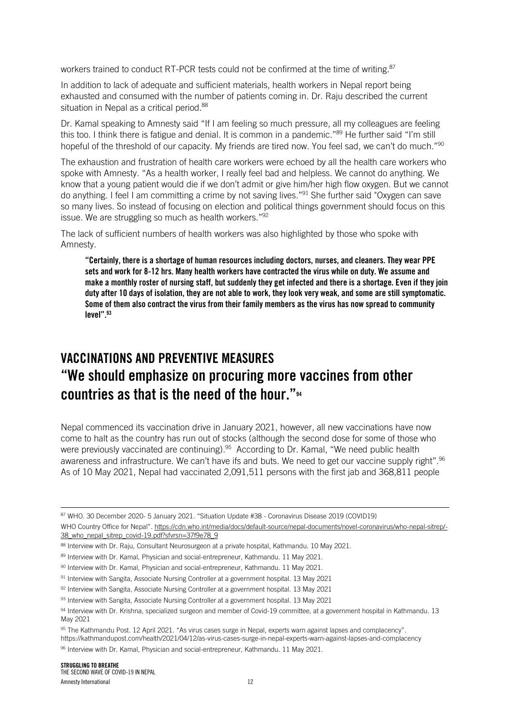workers trained to conduct RT-PCR tests could not be confirmed at the time of writing.<sup>87</sup>

In addition to lack of adequate and sufficient materials, health workers in Nepal report being exhausted and consumed with the number of patients coming in. Dr. Raju described the current situation in Nepal as a critical period.<sup>88</sup>

Dr. Kamal speaking to Amnesty said "If I am feeling so much pressure, all my colleagues are feeling this too. I think there is fatigue and denial. It is common in a pandemic."<sup>89</sup> He further said "I'm still hopeful of the threshold of our capacity. My friends are tired now. You feel sad, we can't do much."<sup>90</sup>

The exhaustion and frustration of health care workers were echoed by all the health care workers who spoke with Amnesty. "As a health worker, I really feel bad and helpless. We cannot do anything. We know that a young patient would die if we don't admit or give him/her high flow oxygen. But we cannot do anything. I feel I am committing a crime by not saving lives."<sup>91</sup> She further said "Oxygen can save so many lives. So instead of focusing on election and political things government should focus on this issue. We are struggling so much as health workers."<sup>92</sup>

The lack of sufficient numbers of health workers was also highlighted by those who spoke with Amnesty.

"Certainly, there is a shortage of human resources including doctors, nurses, and cleaners. They wear PPE sets and work for 8-12 hrs. Many health workers have contracted the virus while on duty. We assume and make a monthly roster of nursing staff, but suddenly they get infected and there is a shortage. Even if they join duty after 10 days of isolation, they are not able to work, they look very weak, and some are still symptomatic. Some of them also contract the virus from their family members as the virus has now spread to community  $level$ ". $93$ 

# VACCINATIONS AND PREVENTIVE MEASURES "We should emphasize on procuring more vaccines from other countries as that is the need of the hour."<sup>94</sup>

Nepal commenced its vaccination drive in January 2021, however, all new vaccinations have now come to halt as the country has run out of stocks (although the second dose for some of those who were previously vaccinated are continuing).<sup>95</sup> According to Dr. Kamal, "We need public health awareness and infrastructure. We can't have ifs and buts. We need to get our vaccine supply right".<sup>96</sup> As of 10 May 2021, Nepal had vaccinated 2,091,511 persons with the first jab and 368,811 people

<sup>87</sup> WHO. 30 December 2020- 5 January 2021. "Situation Update #38 - Coronavirus Disease 2019 (COVID19)

WHO Country Office for Nepal". [https://cdn.who.int/media/docs/default-source/nepal-documents/novel-coronavirus/who-nepal-sitrep/-](https://cdn.who.int/media/docs/default-source/nepal-documents/novel-coronavirus/who-nepal-sitrep/-38_who_nepal_sitrep_covid-19.pdf?sfvrsn=37f9e78_9) [38\\_who\\_nepal\\_sitrep\\_covid-19.pdf?sfvrsn=37f9e78\\_9](https://cdn.who.int/media/docs/default-source/nepal-documents/novel-coronavirus/who-nepal-sitrep/-38_who_nepal_sitrep_covid-19.pdf?sfvrsn=37f9e78_9)

<sup>88</sup> Interview with Dr. Raju, Consultant Neurosurgeon at a private hospital, Kathmandu. 10 May 2021.

<sup>89</sup> Interview with Dr. Kamal, Physician and social-entrepreneur, Kathmandu. 11 May 2021.

<sup>90</sup> Interview with Dr. Kamal, Physician and social-entrepreneur, Kathmandu. 11 May 2021.

<sup>91</sup> Interview with Sangita, Associate Nursing Controller at a government hospital. 13 May 2021

<sup>92</sup> Interview with Sangita, Associate Nursing Controller at a government hospital. 13 May 2021

 $93$  Interview with Sangita, Associate Nursing Controller at a government hospital. 13 May 2021

<sup>94</sup> Interview with Dr. Krishna, specialized surgeon and member of Covid-19 committee, at a government hospital in Kathmandu. 13 May 2021

<sup>95</sup> The Kathmandu Post. 12 April 2021. "As virus cases surge in Nepal, experts warn against lapses and complacency". https://kathmandupost.com/health/2021/04/12/as-virus-cases-surge-in-nepal-experts-warn-against-lapses-and-complacency 96 Interview with Dr. Kamal, Physician and social-entrepreneur, Kathmandu. 11 May 2021.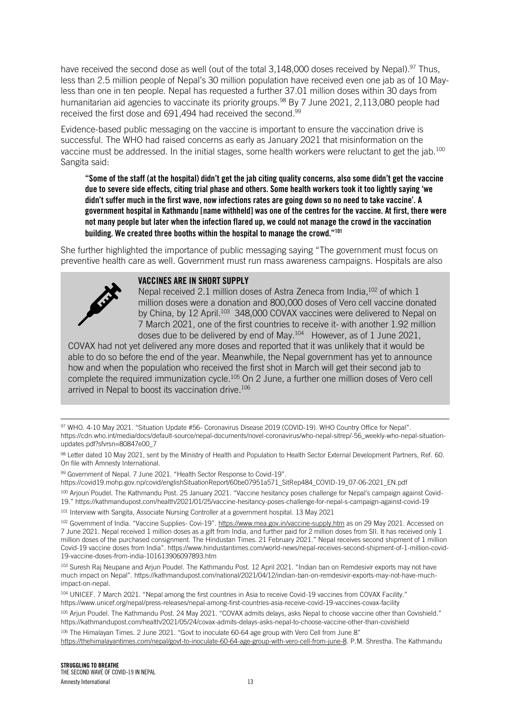have received the second dose as well (out of the total 3,148,000 doses received by Nepal).<sup>97</sup> Thus, less than 2.5 million people of Nepal's 30 million population have received even one jab as of 10 Mayless than one in ten people. Nepal has requested a further 37.01 million doses within 30 days from humanitarian aid agencies to vaccinate its priority groups.<sup>98</sup> By 7 June 2021, 2,113,080 people had received the first dose and 691,494 had received the second.<sup>99</sup>

Evidence-based public messaging on the vaccine is important to ensure the vaccination drive is successful. The WHO had raised concerns as early as January 2021 that misinformation on the vaccine must be addressed. In the initial stages, some health workers were reluctant to get the jab.<sup>100</sup> Sangita said:

"Some of the staff (at the hospital) didn't get the jab citing quality concerns, also some didn't get the vaccine due to severe side effects, citing trial phase and others. Some health workers took it too lightly saying 'we didn't suffer much in the first wave, now infections rates are going down so no need to take vaccine'. A government hospital in Kathmandu [name withheld] was one of the centres for the vaccine. At first, there were not many people but later when the infection flared up, we could not manage the crowd in the vaccination building. We created three booths within the hospital to manage the crowd."<sup>101</sup>

She further highlighted the importance of public messaging saying "The government must focus on preventive health care as well. Government must run mass awareness campaigns. Hospitals are also



#### VACCINES ARE IN SHORT SUPPLY

Nepal received 2.1 million doses of Astra Zeneca from India, 102 of which 1 million doses were a donation and 800,000 doses of Vero cell vaccine donated by China, by 12 April.<sup>103</sup> 348,000 COVAX vaccines were delivered to Nepal on 7 March 2021, one of the first countries to receive it- with another 1.92 million doses due to be delivered by end of May.<sup>104</sup> However, as of 1 June 2021,

COVAX had not yet delivered any more doses and reported that it was unlikely that it would be able to do so before the end of the year. Meanwhile, the Nepal government has yet to announce how and when the population who received the first shot in March will get their second jab to complete the required immunization cycle.<sup>105</sup> On 2 June, a further one million doses of Vero cell arrived in Nepal to boost its vaccination drive.<sup>106</sup>

97 WHO. 4-10 May 2021. "Situation Update #56- Coronavirus Disease 2019 (COVID-19). WHO Country Office for Nepal". https://cdn.who.int/media/docs/default-source/nepal-documents/novel-coronavirus/who-nepal-sitrep/-56\_weekly-who-nepal-situationupdates.pdf?sfvrsn=80847e00\_7

99 Government of Nepal. 7 June 2021. "Health Sector Response to Covid-19".

https://covid19.mohp.gov.np/covid/englishSituationReport/60be07951a571\_SitRep484\_COVID-19\_07-06-2021\_EN.pdf

<sup>100</sup> Arjoun Poudel. The Kathmandu Post. 25 January 2021. "Vaccine hesitancy poses challenge for Nepal's campaign against Covid-19." https://kathmandupost.com/health/2021/01/25/vaccine-hesitancy-poses-challenge-for-nepal-s-campaign-against-covid-19

101 Interview with Sangita, Associate Nursing Controller at a government hospital. 13 May 2021

<sup>103</sup> [Suresh Raj Neupane](https://kathmandupost.com/author/suresh-raj-neupane) and [Arjun Poudel](https://kathmandupost.com/author/arjun-poudel). The Kathmandu Post. 12 April 2021. "Indian ban on Remdesivir exports may not have much impact on Nepal". https://kathmandupost.com/national/2021/04/12/indian-ban-on-remdesivir-exports-may-not-have-muchimpact-on-nepal.

<sup>104</sup> UNICEF. 7 March 2021. "Nepal among the first countries in Asia to receive Covid-19 vaccines from COVAX Facility." https://www.unicef.org/nepal/press-releases/nepal-among-first-countries-asia-receive-covid-19-vaccines-covax-facility

105 Arjun Poudel. The Kathmandu Post. 24 May 2021. "COVAX admits delays, asks Nepal to choose vaccine other than Covishield." https://kathmandupost.com/health/2021/05/24/covax-admits-delays-asks-nepal-to-choose-vaccine-other-than-covishield

106 The Himalayan Times. 2 June 2021. "Govt to inoculate 60-64 age group with Vero Cell from June 8" [https://thehimalayantimes.com/nepal/govt-to-inoculate-60-64-age-group-with-vero-cell-from-june-8.](https://thehimalayantimes.com/nepal/govt-to-inoculate-60-64-age-group-with-vero-cell-from-june-8) P.M. Shrestha. The Kathmandu

<sup>98</sup> Letter dated 10 May 2021, sent by the Ministry of Health and Population to Health Sector External Development Partners, Ref. 60. On file with Amnesty International.

<sup>102</sup> Government of India. "Vaccine Supplies- Covi-19". <https://www.mea.gov.in/vaccine-supply.htm> as on 29 May 2021. Accessed on 7 June 2021. Nepal received 1 million doses as a gift from India, and further paid for 2 million doses from SII. It has received only 1 million doses of the purchased consignment. The Hindustan Times. 21 February 2021." Nepal receives second shipment of 1 million Covid-19 vaccine doses from India". https://www.hindustantimes.com/world-news/nepal-receives-second-shipment-of-1-million-covid-19-vaccine-doses-from-india-101613906097893.htm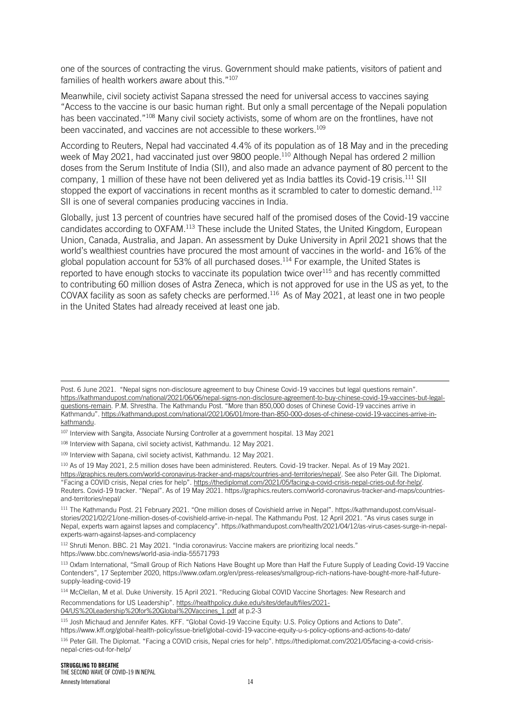one of the sources of contracting the virus. Government should make patients, visitors of patient and families of health workers aware about this."<sup>107</sup>

Meanwhile, civil society activist Sapana stressed the need for universal access to vaccines saying "Access to the vaccine is our basic human right. But only a small percentage of the Nepali population has been vaccinated."<sup>108</sup> Many civil society activists, some of whom are on the frontlines, have not been vaccinated, and vaccines are not accessible to these workers.<sup>109</sup>

According to Reuters, Nepal had vaccinated 4.4% of its population as of 18 May and in the preceding week of May 2021, had vaccinated just over 9800 people.<sup>110</sup> Although Nepal has ordered 2 million doses from the Serum Institute of India (SII), and also made an advance payment of 80 percent to the company, 1 million of these have not been delivered yet as India battles its Covid-19 crisis.<sup>111</sup> SII stopped the export of vaccinations in recent months as it scrambled to cater to domestic demand.<sup>112</sup> SII is one of several companies producing vaccines in India.

Globally, just 13 percent of countries have secured half of the promised doses of the Covid-19 vaccine candidates according to OXFAM.<sup>113</sup> These include the United States, the United Kingdom, European Union, Canada, Australia, and Japan. An assessment by Duke University in April 2021 shows that the world's wealthiest countries have procured the most amount of vaccines in the world- and 16% of the global population account for 53% of all purchased doses.<sup>114</sup> For example, the United States is reported to have enough stocks to vaccinate its population twice over $115$  and has recently committed to contributing 60 million doses of Astra Zeneca, which is not approved for use in the US as yet, to the COVAX facility as soon as safety checks are performed.<sup>116</sup> As of May 2021, at least one in two people in the United States had already received at least one jab.

112 Shruti Menon. BBC. 21 May 2021. "India coronavirus: Vaccine makers are prioritizing local needs." https://www.bbc.com/news/world-asia-india-55571793

Post. 6 June 2021. "Nepal signs non-disclosure agreement to buy Chinese Covid-19 vaccines but legal questions remain". [https://kathmandupost.com/national/2021/06/06/nepal-signs-non-disclosure-agreement-to-buy-chinese-covid-19-vaccines-but-legal](https://kathmandupost.com/national/2021/06/06/nepal-signs-non-disclosure-agreement-to-buy-chinese-covid-19-vaccines-but-legal-questions-remain)[questions-remain.](https://kathmandupost.com/national/2021/06/06/nepal-signs-non-disclosure-agreement-to-buy-chinese-covid-19-vaccines-but-legal-questions-remain) P.M. Shrestha. The Kathmandu Post. "More than 850,000 doses of Chinese Covid-19 vaccines arrive in Kathmandu". [https://kathmandupost.com/national/2021/06/01/more-than-850-000-doses-of-chinese-covid-19-vaccines-arrive-in](https://kathmandupost.com/national/2021/06/01/more-than-850-000-doses-of-chinese-covid-19-vaccines-arrive-in-kathmandu)[kathmandu.](https://kathmandupost.com/national/2021/06/01/more-than-850-000-doses-of-chinese-covid-19-vaccines-arrive-in-kathmandu) 

<sup>&</sup>lt;sup>107</sup> Interview with Sangita, Associate Nursing Controller at a government hospital. 13 May 2021

<sup>108</sup> Interview with Sapana, civil society activist, Kathmandu. 12 May 2021.

<sup>109</sup> Interview with Sapana, civil society activist, Kathmandu. 12 May 2021.

<sup>110</sup> As of 19 May 2021, 2.5 million doses have been administered. Reuters. Covid-19 tracker. Nepal. As of 19 May 2021. [https://graphics.reuters.com/world-coronavirus-tracker-and-maps/countries-and-territories/nepal/.](https://graphics.reuters.com/world-coronavirus-tracker-and-maps/countries-and-territories/nepal/) See also Peter Gill. The Diplomat. "Facing a COVID crisis, Nepal cries for help". [https://thediplomat.com/2021/05/facing-a-covid-crisis-nepal-cries-out-for-help/.](https://thediplomat.com/2021/05/facing-a-covid-crisis-nepal-cries-out-for-help/) Reuters. Covid-19 tracker. "Nepal". As of 19 May 2021. https://graphics.reuters.com/world-coronavirus-tracker-and-maps/countriesand-territories/nepal/

<sup>111</sup> The Kathmandu Post. 21 February 2021. "One million doses of Covishield arrive in Nepal". https://kathmandupost.com/visualstories/2021/02/21/one-million-doses-of-covishield-arrive-in-nepal. The Kathmandu Post. 12 April 2021. "As virus cases surge in Nepal, experts warn against lapses and complacency". https://kathmandupost.com/health/2021/04/12/as-virus-cases-surge-in-nepalexperts-warn-against-lapses-and-complacency

<sup>113</sup> Oxfam International, "Small Group of Rich Nations Have Bought up More than Half the Future Supply of Leading Covid-19 Vaccine Contenders", 17 September 2020, https://www.oxfam.org/en/press-releases/smallgroup-rich-nations-have-bought-more-half-futuresupply-leading-covid-19

<sup>114</sup> McClellan, M et al. Duke University. 15 April 2021. "Reducing Global COVID Vaccine Shortages: New Research and Recommendations for US Leadership". [https://healthpolicy.duke.edu/sites/default/files/2021-](https://healthpolicy.duke.edu/sites/default/files/2021-04/US%20Leadership%20for%20Global%20Vaccines_1.pdf) [04/US%20Leadership%20for%20Global%20Vaccines\\_1.pdf](https://healthpolicy.duke.edu/sites/default/files/2021-04/US%20Leadership%20for%20Global%20Vaccines_1.pdf) at p.2-3

<sup>115</sup> Josh Michaud and Jennifer Kates. KFF. "Global Covid-19 Vaccine Equity: U.S. Policy Options and Actions to Date". https://www.kff.org/global-health-policy/issue-brief/global-covid-19-vaccine-equity-u-s-policy-options-and-actions-to-date/

<sup>116</sup> Peter Gill. The Diplomat. "Facing a COVID crisis, Nepal cries for help". https://thediplomat.com/2021/05/facing-a-covid-crisisnepal-cries-out-for-help/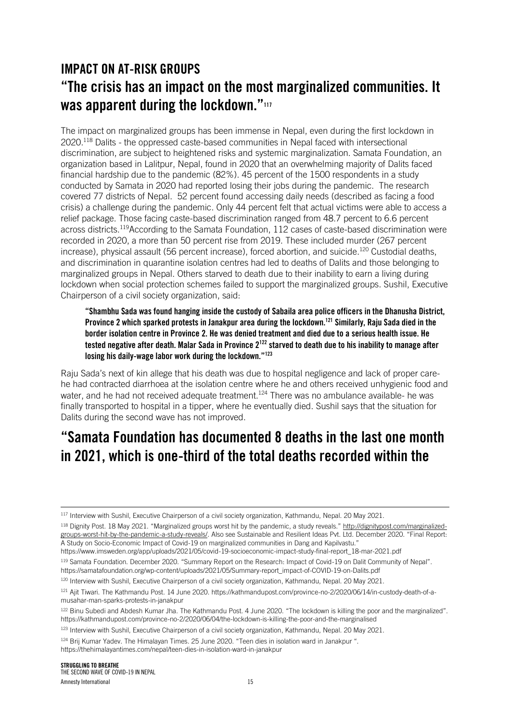# IMPACT ON AT-RISK GROUPS "The crisis has an impact on the most marginalized communities. It was apparent during the lockdown."117

The impact on marginalized groups has been immense in Nepal, even during the first lockdown in 2020.<sup>118</sup> Dalits - the oppressed caste-based communities in Nepal faced with intersectional discrimination, are subject to heightened risks and systemic marginalization. Samata Foundation, an organization based in Lalitpur, Nepal, found in 2020 that an overwhelming majority of Dalits faced financial hardship due to the pandemic (82%). 45 percent of the 1500 respondents in a study conducted by Samata in 2020 had reported losing their jobs during the pandemic. The research covered 77 districts of Nepal. 52 percent found accessing daily needs (described as facing a food crisis) a challenge during the pandemic. Only 44 percent felt that actual victims were able to access a relief package. Those facing caste-based discrimination ranged from 48.7 percent to 6.6 percent across districts.<sup>119</sup>According to the Samata Foundation, 112 cases of caste-based discrimination were recorded in 2020, a more than 50 percent rise from 2019. These included murder (267 percent increase), physical assault (56 percent increase), forced abortion, and suicide.<sup>120</sup> Custodial deaths, and discrimination in quarantine isolation centres had led to deaths of Dalits and those belonging to marginalized groups in Nepal. Others starved to death due to their inability to earn a living during lockdown when social protection schemes failed to support the marginalized groups. Sushil, Executive Chairperson of a civil society organization, said:

"Shambhu Sada was found hanging inside the custody of Sabaila area police officers in the Dhanusha District, Province 2 which sparked protests in Janakpur area during the lockdown.<sup>121</sup> Similarly, Raju Sada died in the border isolation centre in Province 2. He was denied treatment and died due to a serious health issue. He tested negative after death. Malar Sada in Province 2<sup>122</sup> starved to death due to his inability to manage after losing his daily-wage labor work during the lockdown."<sup>123</sup>

Raju Sada's next of kin allege that his death was due to hospital negligence and lack of proper carehe had contracted diarrhoea at the isolation centre where he and others received unhygienic food and water, and he had not received adequate treatment.<sup>124</sup> There was no ambulance available- he was finally transported to hospital in a tipper, where he eventually died. Sushil says that the situation for Dalits during the second wave has not improved.

# "Samata Foundation has documented 8 deaths in the last one month in 2021, which is one-third of the total deaths recorded within the

118 Dignity Post. 18 May 2021. "Marginalized groups worst hit by the pandemic, a study reveals." [http://dignitypost.com/marginalized](http://dignitypost.com/marginalized-groups-worst-hit-by-the-pandemic-a-study-reveals/)[groups-worst-hit-by-the-pandemic-a-study-reveals/](http://dignitypost.com/marginalized-groups-worst-hit-by-the-pandemic-a-study-reveals/). Also see Sustainable and Resilient Ideas Pvt. Ltd. December 2020. "Final Report: A Study on Socio-Economic Impact of Covid-19 on marginalized communities in Dang and Kapilvastu."

https://www.imsweden.org/app/uploads/2021/05/covid-19-socioeconomic-impact-study-final-report\_18-mar-2021.pdf

119 Samata Foundation. December 2020. "Summary Report on the Research: Impact of Covid-19 on Dalit Community of Nepal". https://samatafoundation.org/wp-content/uploads/2021/05/Summary-report\_impact-of-COVID-19-on-Dalits.pdf

120 Interview with Sushil, Executive Chairperson of a civil society organization, Kathmandu, Nepal. 20 May 2021.

<sup>117</sup> Interview with Sushil, Executive Chairperson of a civil society organization, Kathmandu, Nepal. 20 May 2021.

<sup>121</sup> Ajit Tiwari. The Kathmandu Post. 14 June 2020. https://kathmandupost.com/province-no-2/2020/06/14/in-custody-death-of-amusahar-man-sparks-protests-in-janakpur

<sup>&</sup>lt;sup>122</sup> Binu Subedi and Abdesh Kumar Jha. The Kathmandu Post. 4 June 2020. "The lockdown is killing the poor and the marginalized". https://kathmandupost.com/province-no-2/2020/06/04/the-lockdown-is-killing-the-poor-and-the-marginalised

<sup>123</sup> Interview with Sushil, Executive Chairperson of a civil society organization, Kathmandu, Nepal. 20 May 2021.

<sup>124</sup> Brij Kumar Yadev. The Himalayan Times. 25 June 2020. "Teen dies in isolation ward in Janakpur ".

https://thehimalayantimes.com/nepal/teen-dies-in-isolation-ward-in-janakpur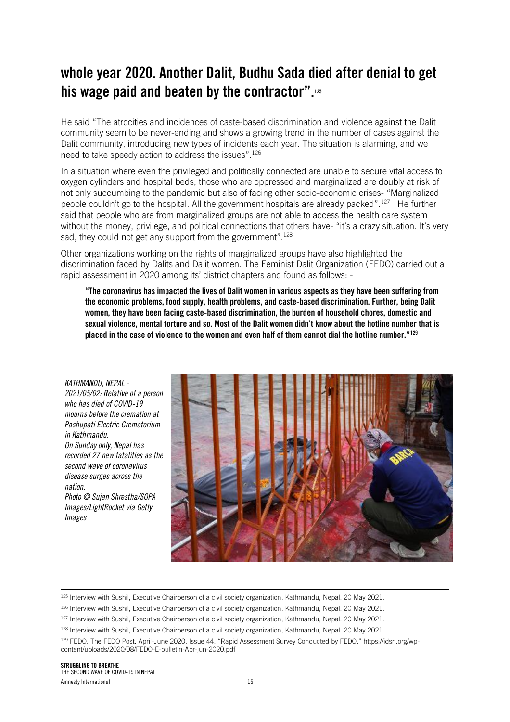# whole year 2020. Another Dalit, Budhu Sada died after denial to get his wage paid and beaten by the contractor".<sup>125</sup>

He said "The atrocities and incidences of caste-based discrimination and violence against the Dalit community seem to be never-ending and shows a growing trend in the number of cases against the Dalit community, introducing new types of incidents each year. The situation is alarming, and we need to take speedy action to address the issues".<sup>126</sup>

In a situation where even the privileged and politically connected are unable to secure vital access to oxygen cylinders and hospital beds, those who are oppressed and marginalized are doubly at risk of not only succumbing to the pandemic but also of facing other socio-economic crises- "Marginalized people couldn't go to the hospital. All the government hospitals are already packed".<sup>127</sup> He further said that people who are from marginalized groups are not able to access the health care system without the money, privilege, and political connections that others have- "it's a crazy situation. It's very sad, they could not get any support from the government".<sup>128</sup>

Other organizations working on the rights of marginalized groups have also highlighted the discrimination faced by Dalits and Dalit women. The Feminist Dalit Organization (FEDO) carried out a rapid assessment in 2020 among its' district chapters and found as follows: -

"The coronavirus has impacted the lives of Dalit women in various aspects as they have been suffering from the economic problems, food supply, health problems, and caste-based discrimination. Further, being Dalit women, they have been facing caste-based discrimination, the burden of household chores, domestic and sexual violence, mental torture and so. Most of the Dalit women didn't know about the hotline number that is placed in the case of violence to the women and even half of them cannot dial the hotline number."<sup>129</sup>

*KATHMANDU, NEPAL - 2021/05/02: Relative of a person who has died of COVID-19 mourns before the cremation at Pashupati Electric Crematorium in Kathmandu. On Sunday only, Nepal has recorded 27 new fatalities as the second wave of coronavirus disease surges across the nation. Photo © Sujan Shrestha/SOPA Images/LightRocket via Getty Images*



<sup>&</sup>lt;sup>125</sup> Interview with Sushil, Executive Chairperson of a civil society organization, Kathmandu, Nepal. 20 May 2021.

<sup>&</sup>lt;sup>126</sup> Interview with Sushil, Executive Chairperson of a civil society organization, Kathmandu, Nepal. 20 May 2021.

<sup>&</sup>lt;sup>127</sup> Interview with Sushil, Executive Chairperson of a civil society organization, Kathmandu, Nepal. 20 May 2021.

<sup>&</sup>lt;sup>128</sup> Interview with Sushil, Executive Chairperson of a civil society organization, Kathmandu, Nepal. 20 May 2021.

<sup>129</sup> FEDO. The FEDO Post. April-June 2020. Issue 44. "Rapid Assessment Survey Conducted by FEDO." https://idsn.org/wpcontent/uploads/2020/08/FEDO-E-bulletin-Apr-jun-2020.pdf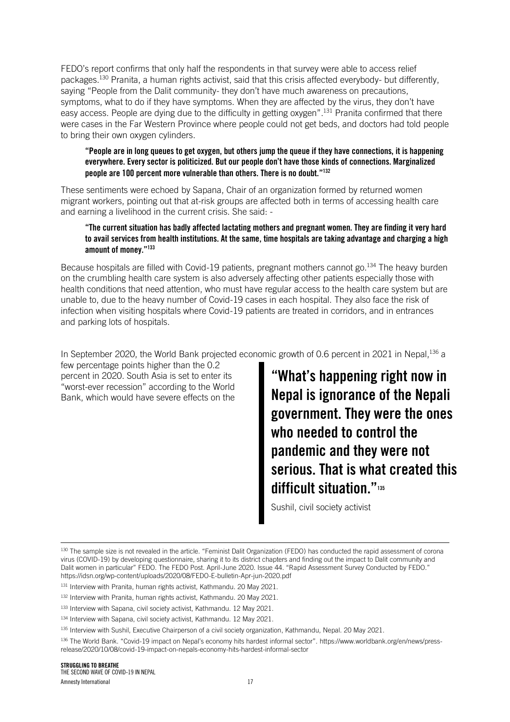FEDO's report confirms that only half the respondents in that survey were able to access relief packages.<sup>130</sup> Pranita, a human rights activist, said that this crisis affected everybody- but differently, saying "People from the Dalit community- they don't have much awareness on precautions, symptoms, what to do if they have symptoms. When they are affected by the virus, they don't have easy access. People are dying due to the difficulty in getting oxygen".<sup>131</sup> Pranita confirmed that there were cases in the Far Western Province where people could not get beds, and doctors had told people to bring their own oxygen cylinders.

#### "People are in long queues to get oxygen, but others jump the queue if they have connections, it is happening everywhere. Every sector is politicized. But our people don't have those kinds of connections. Marginalized people are 100 percent more vulnerable than others. There is no doubt." 132

These sentiments were echoed by Sapana, Chair of an organization formed by returned women migrant workers, pointing out that at-risk groups are affected both in terms of accessing health care and earning a livelihood in the current crisis. She said: -

#### "The current situation has badly affected lactating mothers and pregnant women. They are finding it very hard to avail services from health institutions. At the same, time hospitals are taking advantage and charging a high amount of money."<sup>133</sup>

Because hospitals are filled with Covid-19 patients, pregnant mothers cannot go.<sup>134</sup> The heavy burden on the crumbling health care system is also adversely affecting other patients especially those with health conditions that need attention, who must have regular access to the health care system but are unable to, due to the heavy number of Covid-19 cases in each hospital. They also face the risk of infection when visiting hospitals where Covid-19 patients are treated in corridors, and in entrances and parking lots of hospitals.

In September 2020, the World Bank projected economic growth of 0.6 percent in 2021 in Nepal, <sup>136</sup> a

few percentage points higher than the 0.2 percent in 2020. South Asia is set to enter its "worst-ever recession" according to the World Bank, which would have severe effects on the

"What's happening right now in Nepal is ignorance of the Nepali government. They were the ones who needed to control the pandemic and they were not serious. That is what created this difficult situation."<sup>135</sup>

Sushil, civil society activist

<sup>130</sup> The sample size is not revealed in the article. "Feminist Dalit Organization (FEDO) has conducted the rapid assessment of corona virus (COVID-19) by developing questionnaire, sharing it to its district chapters and finding out the impact to Dalit community and Dalit women in particular" FEDO. The FEDO Post. April-June 2020. Issue 44. "Rapid Assessment Survey Conducted by FEDO." https://idsn.org/wp-content/uploads/2020/08/FEDO-E-bulletin-Apr-jun-2020.pdf

<sup>131</sup> Interview with Pranita, human rights activist, Kathmandu. 20 May 2021.

<sup>132</sup> Interview with Pranita, human rights activist, Kathmandu. 20 May 2021.

<sup>&</sup>lt;sup>133</sup> Interview with Sapana, civil society activist, Kathmandu, 12 May 2021.

<sup>134</sup> Interview with Sapana, civil society activist, Kathmandu. 12 May 2021.

<sup>135</sup> Interview with Sushil, Executive Chairperson of a civil society organization, Kathmandu, Nepal. 20 May 2021.

<sup>136</sup> The World Bank. "Covid-19 impact on Nepal's economy hits hardest informal sector". [https://www.worldbank.org/en/news/press](https://www.worldbank.org/en/news/press-release/2020/10/08/covid-19-impact-on-nepals-economy-hits-hardest-informal-sector)[release/2020/10/08/covid-19-impact-on-nepals-economy-hits-hardest-informal-sector](https://www.worldbank.org/en/news/press-release/2020/10/08/covid-19-impact-on-nepals-economy-hits-hardest-informal-sector)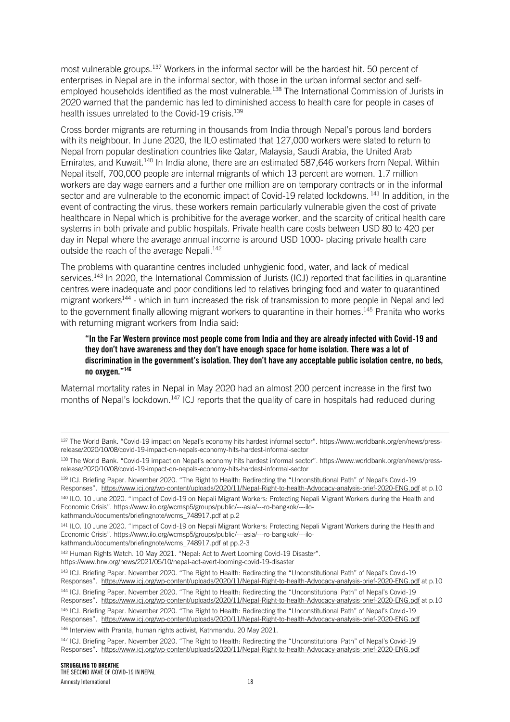most vulnerable groups.<sup>137</sup> Workers in the informal sector will be the hardest hit. 50 percent of enterprises in Nepal are in the informal sector, with those in the urban informal sector and selfemployed households identified as the most vulnerable.<sup>138</sup> The International Commission of Jurists in 2020 warned that the pandemic has led to diminished access to health care for people in cases of health issues unrelated to the Covid-19 crisis.<sup>139</sup>

Cross border migrants are returning in thousands from India through Nepal's porous land borders with its neighbour. In June 2020, the ILO estimated that 127,000 workers were slated to return to Nepal from popular destination countries like Qatar, Malaysia, Saudi Arabia, the United Arab Emirates, and Kuwait.<sup>140</sup> In India alone, there are an estimated 587,646 workers from Nepal. Within Nepal itself, 700,000 people are internal migrants of which 13 percent are women. 1.7 million workers are day wage earners and a further one million are on temporary contracts or in the informal sector and are vulnerable to the economic impact of Covid-19 related lockdowns.<sup>141</sup> In addition, in the event of contracting the virus, these workers remain particularly vulnerable given the cost of private healthcare in Nepal which is prohibitive for the average worker, and the scarcity of critical health care systems in both private and public hospitals. Private health care costs between USD 80 to 420 per day in Nepal where the average annual income is around USD 1000- placing private health care outside the reach of the average Nepali.<sup>142</sup>

The problems with quarantine centres included unhygienic food, water, and lack of medical services.<sup>143</sup> In 2020, the International Commission of Jurists (ICJ) reported that facilities in quarantine centres were inadequate and poor conditions led to relatives bringing food and water to quarantined migrant workers<sup>144</sup> - which in turn increased the risk of transmission to more people in Nepal and led to the government finally allowing migrant workers to quarantine in their homes.<sup>145</sup> Pranita who works with returning migrant workers from India said:

#### "In the Far Western province most people come from India and they are already infected with Covid-19 and they don't have awareness and they don't have enough space for home isolation. There was a lot of discrimination in the government's isolation. They don't have any acceptable public isolation centre, no beds, no oxygen."<sup>146</sup>

Maternal mortality rates in Nepal in May 2020 had an almost 200 percent increase in the first two months of Nepal's lockdown.<sup>147</sup> ICJ reports that the quality of care in hospitals had reduced during

140 ILO. 10 June 2020. "Impact of Covid-19 on Nepali Migrant Workers: Protecting Nepali Migrant Workers during the Health and Economic Crisis". [https://www.ilo.org/wcmsp5/groups/public/---asia/---ro-bangkok/---ilo](https://www.ilo.org/wcmsp5/groups/public/---asia/---ro-bangkok/---ilo-kathmandu/documents/briefingnote/wcms_748917.pdf)[kathmandu/documents/briefingnote/wcms\\_748917.pdf](https://www.ilo.org/wcmsp5/groups/public/---asia/---ro-bangkok/---ilo-kathmandu/documents/briefingnote/wcms_748917.pdf) at p.2

<sup>141</sup> ILO. 10 June 2020. "Impact of Covid-19 on Nepali Migrant Workers: Protecting Nepali Migrant Workers during the Health and Economic Crisis". [https://www.ilo.org/wcmsp5/groups/public/---asia/---ro-bangkok/---ilo-](https://www.ilo.org/wcmsp5/groups/public/---asia/---ro-bangkok/---ilo-kathmandu/documents/briefingnote/wcms_748917.pdf)

[kathmandu/documents/briefingnote/wcms\\_748917.pdf](https://www.ilo.org/wcmsp5/groups/public/---asia/---ro-bangkok/---ilo-kathmandu/documents/briefingnote/wcms_748917.pdf) at pp.2-3

142 Human Rights Watch. 10 May 2021. "Nepal: Act to Avert Looming Covid-19 Disaster".

https://www.hrw.org/news/2021/05/10/nepal-act-avert-looming-covid-19-disaster

146 Interview with Pranita, human rights activist, Kathmandu. 20 May 2021.

<sup>137</sup> The World Bank. "Covid-19 impact on Nepal's economy hits hardest informal sector". [https://www.worldbank.org/en/news/press](https://www.worldbank.org/en/news/press-release/2020/10/08/covid-19-impact-on-nepals-economy-hits-hardest-informal-sector)[release/2020/10/08/covid-19-impact-on-nepals-economy-hits-hardest-informal-sector](https://www.worldbank.org/en/news/press-release/2020/10/08/covid-19-impact-on-nepals-economy-hits-hardest-informal-sector)

<sup>138</sup> The World Bank. "Covid-19 impact on Nepal's economy hits hardest informal sector". [https://www.worldbank.org/en/news/press](https://www.worldbank.org/en/news/press-release/2020/10/08/covid-19-impact-on-nepals-economy-hits-hardest-informal-sector)[release/2020/10/08/covid-19-impact-on-nepals-economy-hits-hardest-informal-sector](https://www.worldbank.org/en/news/press-release/2020/10/08/covid-19-impact-on-nepals-economy-hits-hardest-informal-sector)

<sup>139</sup> ICJ. Briefing Paper. November 2020. "The Right to Health: Redirecting the "Unconstitutional Path" of Nepal's Covid-19 Responses". <https://www.icj.org/wp-content/uploads/2020/11/Nepal-Right-to-health-Advocacy-analysis-brief-2020-ENG.pdf> at p.10

<sup>143</sup> ICJ. Briefing Paper. November 2020. "The Right to Health: Redirecting the "Unconstitutional Path" of Nepal's Covid-19 Responses". <https://www.icj.org/wp-content/uploads/2020/11/Nepal-Right-to-health-Advocacy-analysis-brief-2020-ENG.pdf> at p.10 <sup>144</sup> ICJ. Briefing Paper. November 2020. "The Right to Health: Redirecting the "Unconstitutional Path" of Nepal's Covid-19 Responses". <https://www.icj.org/wp-content/uploads/2020/11/Nepal-Right-to-health-Advocacy-analysis-brief-2020-ENG.pdf> at p.10 145 ICJ. Briefing Paper. November 2020. "The Right to Health: Redirecting the "Unconstitutional Path" of Nepal's Covid-19 Responses". <https://www.icj.org/wp-content/uploads/2020/11/Nepal-Right-to-health-Advocacy-analysis-brief-2020-ENG.pdf>

<sup>&</sup>lt;sup>147</sup> ICJ. Briefing Paper. November 2020. "The Right to Health: Redirecting the "Unconstitutional Path" of Nepal's Covid-19 Responses". <https://www.icj.org/wp-content/uploads/2020/11/Nepal-Right-to-health-Advocacy-analysis-brief-2020-ENG.pdf>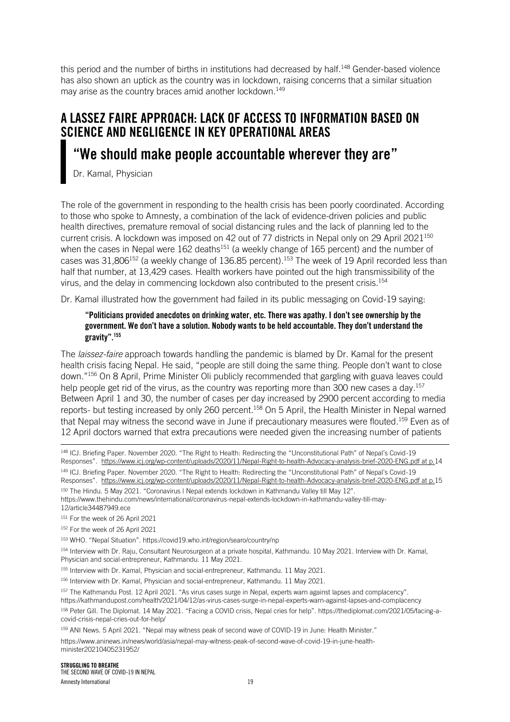this period and the number of births in institutions had decreased by half.<sup>148</sup> Gender-based violence has also shown an uptick as the country was in lockdown, raising concerns that a similar situation may arise as the country braces amid another lockdown.<sup>149</sup>

## A LASSEZ FAIRE APPROACH: LACK OF ACCESS TO INFORMATION BASED ON SCIENCE AND NEGLIGENCE IN KEY OPERATIONAL AREAS

## "We should make people accountable wherever they are"

Dr. Kamal, Physician

The role of the government in responding to the health crisis has been poorly coordinated. According to those who spoke to Amnesty, a combination of the lack of evidence-driven policies and public health directives, premature removal of social distancing rules and the lack of planning led to the current crisis. A lockdown was imposed on 42 out of 77 districts in Nepal only on 29 April 2021<sup>150</sup> when the cases in Nepal were 162 deaths<sup>151</sup> (a weekly change of 165 percent) and the number of cases was 31,806<sup>152</sup> (a weekly change of 136.85 percent).<sup>153</sup> The week of 19 April recorded less than half that number, at 13,429 cases. Health workers have pointed out the high transmissibility of the virus, and the delay in commencing lockdown also contributed to the present crisis.<sup>154</sup>

Dr. Kamal illustrated how the government had failed in its public messaging on Covid-19 saying:

#### "Politicians provided anecdotes on drinking water, etc. There was apathy. I don't see ownership by the government. We don't have a solution. Nobody wants to be held accountable. They don't understand the gravity".<sup>155</sup>

The *laissez-faire* approach towards handling the pandemic is blamed by Dr. Kamal for the present health crisis facing Nepal. He said, "people are still doing the same thing. People don't want to close down."<sup>156</sup> On 8 April, Prime Minister Oli publicly recommended that gargling with guava leaves could help people get rid of the virus, as the country was reporting more than 300 new cases a day.<sup>157</sup> Between April 1 and 30, the number of cases per day increased by 2900 percent according to media reports- but testing increased by only 260 percent.<sup>158</sup> On 5 April, the Health Minister in Nepal warned that Nepal may witness the second wave in June if precautionary measures were flouted.<sup>159</sup> Even as of 12 April doctors warned that extra precautions were needed given the increasing number of patients

<sup>148</sup> ICJ. Briefing Paper. November 2020. "The Right to Health: Redirecting the "Unconstitutional Path" of Nepal's Covid-19 Responses". [https://www.icj.org/wp-content/uploads/2020/11/Nepal-Right-to-health-Advocacy-analysis-brief-2020-ENG.pdf at p.1](https://www.icj.org/wp-content/uploads/2020/11/Nepal-Right-to-health-Advocacy-analysis-brief-2020-ENG.pdf%20at%20p.8)4 149 ICJ. Briefing Paper. November 2020. "The Right to Health: Redirecting the "Unconstitutional Path" of Nepal's Covid-19 Responses". [https://www.icj.org/wp-content/uploads/2020/11/Nepal-Right-to-health-Advocacy-analysis-brief-2020-ENG.pdf at p.1](https://www.icj.org/wp-content/uploads/2020/11/Nepal-Right-to-health-Advocacy-analysis-brief-2020-ENG.pdf%20at%20p.8)5

<sup>150</sup> The Hindu. 5 May 2021. "Coronavirus | Nepal extends lockdown in Kathmandu Valley till May 12". https://www.thehindu.com/news/international/coronavirus-nepal-extends-lockdown-in-kathmandu-valley-till-may-12/article34487949.ece

151 For the week of 26 April 2021

152 For the week of 26 April 2021

<sup>153</sup> WHO. "Nepal Situation". https://covid19.who.int/region/searo/country/np

<sup>154</sup> Interview with Dr. Raju, Consultant Neurosurgeon at a private hospital, Kathmandu. 10 May 2021. Interview with Dr. Kamal, Physician and social-entrepreneur, Kathmandu. 11 May 2021.

<sup>155</sup> Interview with Dr. Kamal, Physician and social-entrepreneur, Kathmandu. 11 May 2021.

156 Interview with Dr. Kamal, Physician and social-entrepreneur, Kathmandu. 11 May 2021.

<sup>157</sup> The Kathmandu Post. 12 April 2021. "As virus cases surge in Nepal, experts warn against lapses and complacency". https://kathmandupost.com/health/2021/04/12/as-virus-cases-surge-in-nepal-experts-warn-against-lapses-and-complacency <sup>158</sup> Peter Gill. The Diplomat. 14 May 2021. "Facing a COVID crisis, Nepal cries for help". https://thediplomat.com/2021/05/facing-acovid-crisis-nepal-cries-out-for-help/

159 ANI News. 5 April 2021. "Nepal may witness peak of second wave of COVID-19 in June: Health Minister." https://www.aninews.in/news/world/asia/nepal-may-witness-peak-of-second-wave-of-covid-19-in-june-healthminister20210405231952/

STRUGGLING TO BREATHE THE SECOND WAVE OF COVID-19 IN NEPAL Amnesty International 2002 19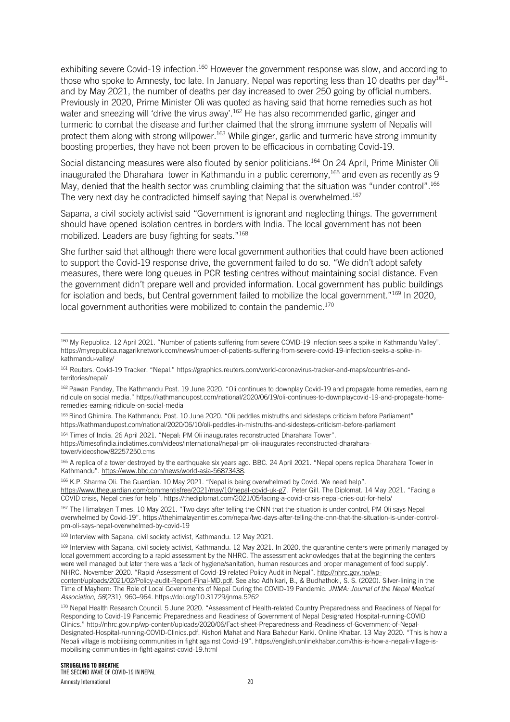exhibiting severe Covid-19 infection.<sup>160</sup> However the government response was slow, and according to those who spoke to Amnesty, too late. In January, Nepal was reporting less than 10 deaths per day<sup>161</sup>and by May 2021, the number of deaths per day increased to over 250 going by official numbers. Previously in 2020, Prime Minister Oli was quoted as having said that home remedies such as hot water and sneezing will 'drive the virus away'. <sup>162</sup> He has also recommended garlic, ginger and turmeric to combat the disease and further claimed that the strong immune system of Nepalis will protect them along with strong willpower.<sup>163</sup> While ginger, garlic and turmeric have strong immunity boosting properties, they have not been proven to be efficacious in combating Covid-19.

Social distancing measures were also flouted by senior politicians.<sup>164</sup> On 24 April, Prime Minister Oli inaugurated the Dharahara tower in Kathmandu in a public ceremony,  $165$  and even as recently as 9 May, denied that the health sector was crumbling claiming that the situation was "under control".<sup>166</sup> The very next day he contradicted himself saying that Nepal is overwhelmed.<sup>167</sup>

Sapana, a civil society activist said "Government is ignorant and neglecting things. The government should have opened isolation centres in borders with India. The local government has not been mobilized. Leaders are busy fighting for seats."<sup>168</sup>

She further said that although there were local government authorities that could have been actioned to support the Covid-19 response drive, the government failed to do so. "We didn't adopt safety measures, there were long queues in PCR testing centres without maintaining social distance. Even the government didn't prepare well and provided information. Local government has public buildings for isolation and beds, but Central government failed to mobilize the local government."<sup>169</sup> In 2020, local government authorities were mobilized to contain the pandemic.<sup>170</sup>

163 Binod Ghimire. The Kathmandu Post. 10 June 2020. "Oli peddles mistruths and sidesteps criticism before Parliament" https://kathmandupost.com/national/2020/06/10/oli-peddles-in-mistruths-and-sidesteps-criticism-before-parliament

164 Times of India. 26 April 2021. "Nepal: PM Oli inaugurates reconstructed Dharahara Tower". https://timesofindia.indiatimes.com/videos/international/nepal-pm-oli-inaugurates-reconstructed-dharaharatower/videoshow/82257250.cms

165 A replica of a tower destroyed by the earthquake six years ago. BBC. 24 April 2021. "Nepal opens replica Dharahara Tower in Kathmandu". https://www.bbc.com/news/world-asia-56873438.

<sup>166</sup> K.P. Sharma Oli. The Guardian. 10 May 2021. "Nepal is being overwhelmed by Covid. We need help". [https://www.theguardian.com/commentisfree/2021/may/10/nepal-covid-uk-g7.](https://www.theguardian.com/commentisfree/2021/may/10/nepal-covid-uk-g7) Peter Gill. The Diplomat. 14 May 2021. "Facing a COVID crisis, Nepal cries for help". https://thediplomat.com/2021/05/facing-a-covid-crisis-nepal-cries-out-for-help/

<sup>167</sup> The Himalayan Times. 10 May 2021. "Two days after telling the CNN that the situation is under control, PM Oli says Nepal overwhelmed by Covid-19". https://thehimalayantimes.com/nepal/two-days-after-telling-the-cnn-that-the-situation-is-under-controlpm-oli-says-nepal-overwhelmed-by-covid-19

168 Interview with Sapana, civil society activist, Kathmandu. 12 May 2021.

169 Interview with Sapana, civil society activist, Kathmandu. 12 May 2021. In 2020, the quarantine centers were primarily managed by local government according to a rapid assessment by the NHRC. The assessment acknowledges that at the beginning the centers were well managed but later there was a 'lack of hygiene/sanitation, human resources and proper management of food supply'. NHRC. November 2020. "Rapid Assessment of Covid-19 related Policy Audit in Nepal". [http://nhrc.gov.np/wp-](http://nhrc.gov.np/wp-content/uploads/2021/02/Policy-audit-Report-Final-MD.pdf)

[content/uploads/2021/02/Policy-audit-Report-Final-MD.pdf.](http://nhrc.gov.np/wp-content/uploads/2021/02/Policy-audit-Report-Final-MD.pdf) See also Adhikari, B., & Budhathoki, S. S. (2020). Silver-lining in the Time of Mayhem: The Role of Local Governments of Nepal During the COVID-19 Pandemic. *JNMA: Journal of the Nepal Medical Association*, *58*(231), 960–964. https://doi.org/10.31729/jnma.5262

<sup>170</sup> Nepal Health Research Council. 5 June 2020. "Assessment of Health-related Country Preparedness and Readiness of Nepal for Responding to Covid-19 Pandemic Preparedness and Readiness of Government of Nepal Designated Hospital-running-COVID Clinics." http://nhrc.gov.np/wp-content/uploads/2020/06/Fact-sheet-Preparedness-and-Readiness-of-Government-of-Nepal-Designated-Hospital-running-COVID-Clinics.pdf. Kishori Mahat and Nara Bahadur Karki. Online Khabar. 13 May 2020. "This is how a Nepali village is mobilising communities in fight against Covid-19". https://english.onlinekhabar.com/this-is-how-a-nepali-village-ismobilising-communities-in-fight-against-covid-19.html

<sup>&</sup>lt;sup>160</sup> My Republica. 12 April 2021. "Number of patients suffering from severe COVID-19 infection sees a spike in Kathmandu Valley". https://myrepublica.nagariknetwork.com/news/number-of-patients-suffering-from-severe-covid-19-infection-seeks-a-spike-inkathmandu-valley/

<sup>161</sup> Reuters. Covid-19 Tracker. "Nepal." https://graphics.reuters.com/world-coronavirus-tracker-and-maps/countries-andterritories/nepal/

<sup>162</sup> Pawan Pandey, The Kathmandu Post. 19 June 2020. "Oli continues to downplay Covid-19 and propagate home remedies, earning ridicule on social media." https://kathmandupost.com/national/2020/06/19/oli-continues-to-downplaycovid-19-and-propagate-homeremedies-earning-ridicule-on-social-media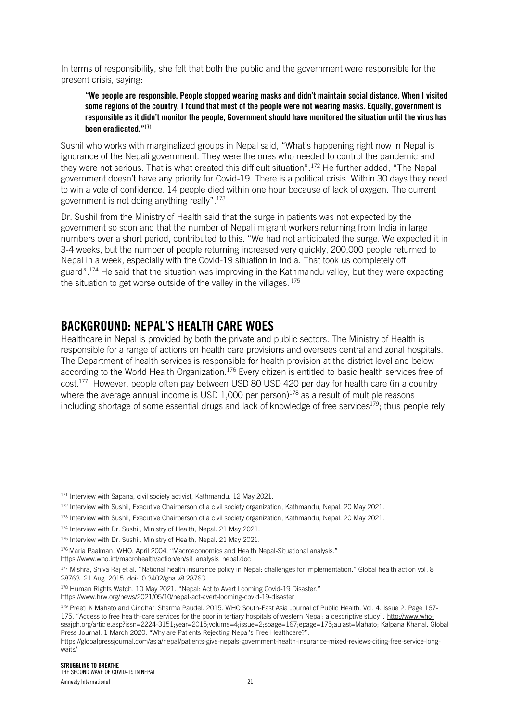In terms of responsibility, she felt that both the public and the government were responsible for the present crisis, saying:

#### "We people are responsible. People stopped wearing masks and didn't maintain social distance. When I visited some regions of the country, I found that most of the people were not wearing masks. Equally, government is responsible as it didn't monitor the people, Government should have monitored the situation until the virus has been eradicated."<sup>171</sup>

Sushil who works with marginalized groups in Nepal said, "What's happening right now in Nepal is ignorance of the Nepali government. They were the ones who needed to control the pandemic and they were not serious. That is what created this difficult situation".<sup>172</sup> He further added, "The Nepal government doesn't have any priority for Covid-19. There is a political crisis. Within 30 days they need to win a vote of confidence. 14 people died within one hour because of lack of oxygen. The current government is not doing anything really".<sup>173</sup>

Dr. Sushil from the Ministry of Health said that the surge in patients was not expected by the government so soon and that the number of Nepali migrant workers returning from India in large numbers over a short period, contributed to this. "We had not anticipated the surge. We expected it in 3-4 weeks, but the number of people returning increased very quickly, 200,000 people returned to Nepal in a week, especially with the Covid-19 situation in India. That took us completely off guard".<sup>174</sup> He said that the situation was improving in the Kathmandu valley, but they were expecting the situation to get worse outside of the valley in the villages.  $175$ 

## BACKGROUND: NEPAL'S HEALTH CARE WOES

Healthcare in Nepal is provided by both the private and public sectors. The Ministry of Health is responsible for a range of actions on health care provisions and oversees central and zonal hospitals. The Department of health services is responsible for health provision at the district level and below according to the World Health Organization.<sup>176</sup> Every citizen is entitled to basic health services free of cost.<sup>177</sup> However, people often pay between USD 80 USD 420 per day for health care (in a country where the average annual income is USD 1,000 per person) $178$  as a result of multiple reasons including shortage of some essential drugs and lack of knowledge of free services<sup>179</sup>; thus people rely

178 Human Rights Watch. 10 May 2021. "Nepal: Act to Avert Looming Covid-19 Disaster." https://www.hrw.org/news/2021/05/10/nepal-act-avert-looming-covid-19-disaster

<sup>171</sup> Interview with Sapana, civil society activist, Kathmandu. 12 May 2021.

<sup>172</sup> Interview with Sushil, Executive Chairperson of a civil society organization, Kathmandu, Nepal. 20 May 2021.

<sup>173</sup> Interview with Sushil, Executive Chairperson of a civil society organization, Kathmandu, Nepal. 20 May 2021.

<sup>174</sup> Interview with Dr. Sushil, Ministry of Health, Nepal. 21 May 2021.

<sup>&</sup>lt;sup>175</sup> Interview with Dr. Sushil, Ministry of Health, Nepal. 21 May 2021.

<sup>176</sup> Maria Paalman. WHO. April 2004, "Macroeconomics and Health Nepal-Situational analysis."

https://www.who.int/macrohealth/action/en/sit\_analysis\_nepal.doc

<sup>177</sup> Mishra, Shiva Raj et al. "National health insurance policy in Nepal: challenges for implementation." Global health action vol. 8 28763. 21 Aug. 2015. doi:10.3402/gha.v8.28763

<sup>179</sup> [Preeti K Mahato](http://www.who-seajph.org/searchresult.asp?search=&author=Preeti+K+Mahato&journal=Y&but_search=Search&entries=10&pg=1&s=0) and [Giridhari Sharma Paudel.](http://www.who-seajph.org/searchresult.asp?search=&author=Giridhari+Sharma+Paudel&journal=Y&but_search=Search&entries=10&pg=1&s=0) 2015. WHO South-East Asia Journal of Public Health. Vol. 4. Issue 2. Page 167- 175. "Access to free health-care services for the poor in tertiary hospitals of western Nepal: a descriptive study". [http://www.who](http://www.who-seajph.org/article.asp?issn=2224-3151;year=2015;volume=4;issue=2;spage=167;epage=175;aulast=Mahato)[seajph.org/article.asp?issn=2224-3151;year=2015;volume=4;issue=2;spage=167;epage=175;aulast=Mahato;](http://www.who-seajph.org/article.asp?issn=2224-3151;year=2015;volume=4;issue=2;spage=167;epage=175;aulast=Mahato) Kalpana Khanal. Global

Press Journal. 1 March 2020. "Why are Patients Rejecting Nepal's Free Healthcare?". https://globalpressjournal.com/asia/nepal/patients-give-nepals-government-health-insurance-mixed-reviews-citing-free-service-longwaits/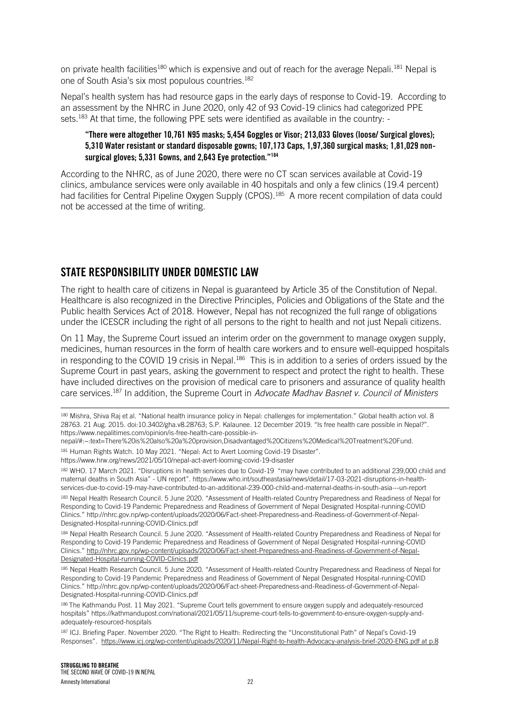on private health facilities<sup>180</sup> which is expensive and out of reach for the average Nepali.<sup>181</sup> Nepal is one of South Asia's six most populous countries.<sup>182</sup>

Nepal's health system has had resource gaps in the early days of response to Covid-19. According to an assessment by the NHRC in June 2020, only 42 of 93 Covid-19 clinics had categorized PPE sets.<sup>183</sup> At that time, the following PPE sets were identified as available in the country: -

#### "There were altogether 10,761 N95 masks; 5,454 Goggles or Visor; 213,033 Gloves (loose/ Surgical gloves); 5,310 Water resistant or standard disposable gowns; 107,173 Caps, 1,97,360 surgical masks; 1,81,029 nonsurgical gloves: 5.331 Gowns, and 2.643 Eve protection."<sup>184</sup>

According to the NHRC, as of June 2020, there were no CT scan services available at Covid-19 clinics, ambulance services were only available in 40 hospitals and only a few clinics (19.4 percent) had facilities for Central Pipeline Oxygen Supply (CPOS).<sup>185</sup> A more recent compilation of data could not be accessed at the time of writing.

### STATE RESPONSIBILITY UNDER DOMESTIC LAW

The right to health care of citizens in Nepal is guaranteed by Article 35 of the Constitution of Nepal. Healthcare is also recognized in the Directive Principles, Policies and Obligations of the State and the Public health Services Act of 2018. However, Nepal has not recognized the full range of obligations under the ICESCR including the right of all persons to the right to health and not just Nepali citizens.

On 11 May, the Supreme Court issued an interim order on the government to manage oxygen supply, medicines, human resources in the form of health care workers and to ensure well-equipped hospitals in responding to the COVID 19 crisis in Nepal.<sup>186</sup> This is in addition to a series of orders issued by the Supreme Court in past years, asking the government to respect and protect the right to health. These have included directives on the provision of medical care to prisoners and assurance of quality health care services.<sup>187</sup> In addition, the Supreme Court in *Advocate Madhav Basnet v. Council of Ministers* 

https://www.hrw.org/news/2021/05/10/nepal-act-avert-looming-covid-19-disaster

182 WHO. 17 March 2021. "Disruptions in health services due to Covid-19 "may have contributed to an additional 239,000 child and maternal deaths in South Asia" - UN report". https://www.who.int/southeastasia/news/detail/17-03-2021-disruptions-in-healthservices-due-to-covid-19-may-have-contributed-to-an-additional-239-000-child-and-maternal-deaths-in-south-asia---un-report

183 Nepal Health Research Council. 5 June 2020. "Assessment of Health-related Country Preparedness and Readiness of Nepal for Responding to Covid-19 Pandemic Preparedness and Readiness of Government of Nepal Designated Hospital-running-COVID Clinics." http://nhrc.gov.np/wp-content/uploads/2020/06/Fact-sheet-Preparedness-and-Readiness-of-Government-of-Nepal-Designated-Hospital-running-COVID-Clinics.pdf

184 Nepal Health Research Council. 5 June 2020. "Assessment of Health-related Country Preparedness and Readiness of Nepal for Responding to Covid-19 Pandemic Preparedness and Readiness of Government of Nepal Designated Hospital-running-COVID Clinics." [http://nhrc.gov.np/wp-content/uploads/2020/06/Fact-sheet-Preparedness-and-Readiness-of-Government-of-Nepal-](http://nhrc.gov.np/wp-content/uploads/2020/06/Fact-sheet-Preparedness-and-Readiness-of-Government-of-Nepal-Designated-Hospital-running-COVID-Clinics.pdf)[Designated-Hospital-running-COVID-Clinics.pdf](http://nhrc.gov.np/wp-content/uploads/2020/06/Fact-sheet-Preparedness-and-Readiness-of-Government-of-Nepal-Designated-Hospital-running-COVID-Clinics.pdf)

185 Nepal Health Research Council. 5 June 2020. "Assessment of Health-related Country Preparedness and Readiness of Nepal for Responding to Covid-19 Pandemic Preparedness and Readiness of Government of Nepal Designated Hospital-running-COVID Clinics." http://nhrc.gov.np/wp-content/uploads/2020/06/Fact-sheet-Preparedness-and-Readiness-of-Government-of-Nepal-Designated-Hospital-running-COVID-Clinics.pdf

<sup>180</sup> Mishra, Shiva Raj et al. "National health insurance policy in Nepal: challenges for implementation." Global health action vol. 8 28763. 21 Aug. 2015. doi:10.3402/gha.v8.28763; S.P. Kalaunee. 12 December 2019. "Is free health care possible in Nepal?". https://www.nepalitimes.com/opinion/is-free-health-care-possible-in-

nepal/#:~:text=There%20is%20also%20a%20provision,Disadvantaged%20Citizens%20Medical%20Treatment%20Fund.

<sup>181</sup> Human Rights Watch. 10 May 2021. "Nepal: Act to Avert Looming Covid-19 Disaster".

<sup>186</sup> The Kathmandu Post. 11 May 2021. "Supreme Court tells government to ensure oxygen supply and adequately-resourced hospitals" https://kathmandupost.com/national/2021/05/11/supreme-court-tells-to-government-to-ensure-oxygen-supply-andadequately-resourced-hospitals

<sup>187</sup> ICJ. Briefing Paper. November 2020. "The Right to Health: Redirecting the "Unconstitutional Path" of Nepal's Covid-19 Responses". [https://www.icj.org/wp-content/uploads/2020/11/Nepal-Right-to-health-Advocacy-analysis-brief-2020-ENG.pdf at p.8](https://www.icj.org/wp-content/uploads/2020/11/Nepal-Right-to-health-Advocacy-analysis-brief-2020-ENG.pdf%20at%20p.8)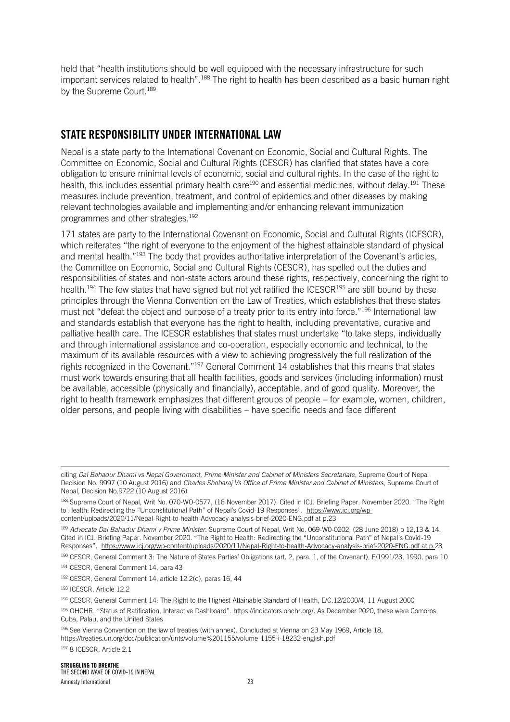held that "health institutions should be well equipped with the necessary infrastructure for such important services related to health".<sup>188</sup> The right to health has been described as a basic human right by the Supreme Court.<sup>189</sup>

### STATE RESPONSIBILITY UNDER INTERNATIONAL LAW

Nepal is a state party to the International Covenant on Economic, Social and Cultural Rights. The Committee on Economic, Social and Cultural Rights (CESCR) has clarified that states have a core obligation to ensure minimal levels of economic, social and cultural rights. In the case of the right to health, this includes essential primary health care<sup>190</sup> and essential medicines, without delay.<sup>191</sup> These measures include prevention, treatment, and control of epidemics and other diseases by making relevant technologies available and implementing and/or enhancing relevant immunization programmes and other strategies.<sup>192</sup>

171 states are party to the International Covenant on Economic, Social and Cultural Rights (ICESCR), which reiterates "the right of everyone to the enjoyment of the highest attainable standard of physical and mental health."<sup>193</sup> The body that provides authoritative interpretation of the Covenant's articles, the Committee on Economic, Social and Cultural Rights (CESCR), has spelled out the duties and responsibilities of states and non-state actors around these rights, respectively, concerning the right to health.<sup>194</sup> The few states that have signed but not yet ratified the ICESCR<sup>195</sup> are still bound by these principles through the Vienna Convention on the Law of Treaties, which establishes that these states must not "defeat the object and purpose of a treaty prior to its entry into force."<sup>196</sup> International law and standards establish that everyone has the right to health, including preventative, curative and palliative health care. The ICESCR establishes that states must undertake "to take steps, individually and through international assistance and co-operation, especially economic and technical, to the maximum of its available resources with a view to achieving progressively the full realization of the rights recognized in the Covenant."<sup>197</sup> General Comment 14 establishes that this means that states must work towards ensuring that all health facilities, goods and services (including information) must be available, accessible (physically and financially), acceptable, and of good quality. Moreover, the right to health framework emphasizes that different groups of people – for example, women, children, older persons, and people living with disabilities – have specific needs and face different

<sup>190</sup> CESCR, General Comment 3: The Nature of States Parties' Obligations (art. 2, para. 1, of the Covenant), E/1991/23, 1990, para 10

- <sup>194</sup> CESCR, General Comment 14: The Right to the Highest Attainable Standard of Health, E/C.12/2000/4, 11 August 2000
- <sup>195</sup> OHCHR. "Status of Ratification, Interactive Dashboard". https://indicators.ohchr.org/. As December 2020, these were Comoros, Cuba, Palau, and the United States
- <sup>196</sup> See Vienna Convention on the law of treaties (with annex). Concluded at Vienna on 23 May 1969, Article 18, https://treaties.un.org/doc/publication/unts/volume%201155/volume-1155-i-18232-english.pdf <sup>197</sup> 8 ICESCR, Article 2.1

citing *Dal Bahadur Dhami vs Nepal Government, Prime Minister and Cabinet of Ministers Secretariate*, Supreme Court of Nepal Decision No. 9997 (10 August 2016) and *Charles Shobaraj Vs Office of Prime Minister and Cabinet of Ministers*, Supreme Court of Nepal, Decision No.9722 (10 August 2016)

<sup>188</sup> Supreme Court of Nepal, Writ No. 070-WO-0577, (16 November 2017). Cited in ICJ. Briefing Paper. November 2020. "The Right to Health: Redirecting the "Unconstitutional Path" of Nepal's Covid-19 Responses". [https://www.icj.org/wp](https://www.icj.org/wp-content/uploads/2020/11/Nepal-Right-to-health-Advocacy-analysis-brief-2020-ENG.pdf%20at%20p.8)[content/uploads/2020/11/Nepal-Right-to-health-Advocacy-analysis-brief-2020-ENG.pdf at p.2](https://www.icj.org/wp-content/uploads/2020/11/Nepal-Right-to-health-Advocacy-analysis-brief-2020-ENG.pdf%20at%20p.8)3

<sup>189</sup> *Advocate Dal Bahadur Dhami v Prime Minister*. Supreme Court of Nepal, Writ No. 069-W0-0202, (28 June 2018) p 12,13 & 14. Cited in ICJ. Briefing Paper. November 2020. "The Right to Health: Redirecting the "Unconstitutional Path" of Nepal's Covid-19 Responses". [https://www.icj.org/wp-content/uploads/2020/11/Nepal-Right-to-health-Advocacy-analysis-brief-2020-ENG.pdf at p.2](https://www.icj.org/wp-content/uploads/2020/11/Nepal-Right-to-health-Advocacy-analysis-brief-2020-ENG.pdf%20at%20p.8)3

<sup>191</sup> CESCR, General Comment 14, para 43

<sup>192</sup> CESCR, General Comment 14, article 12.2(c), paras 16, 44

<sup>193</sup> ICESCR, Article 12.2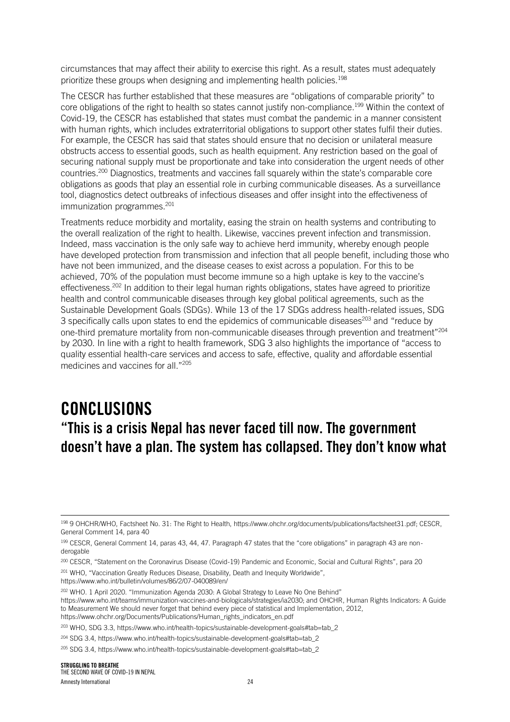circumstances that may affect their ability to exercise this right. As a result, states must adequately prioritize these groups when designing and implementing health policies.<sup>198</sup>

The CESCR has further established that these measures are "obligations of comparable priority" to core obligations of the right to health so states cannot justify non-compliance.<sup>199</sup> Within the context of Covid-19, the CESCR has established that states must combat the pandemic in a manner consistent with human rights, which includes extraterritorial obligations to support other states fulfil their duties. For example, the CESCR has said that states should ensure that no decision or unilateral measure obstructs access to essential goods, such as health equipment. Any restriction based on the goal of securing national supply must be proportionate and take into consideration the urgent needs of other countries.<sup>200</sup> Diagnostics, treatments and vaccines fall squarely within the state's comparable core obligations as goods that play an essential role in curbing communicable diseases. As a surveillance tool, diagnostics detect outbreaks of infectious diseases and offer insight into the effectiveness of immunization programmes.<sup>201</sup>

Treatments reduce morbidity and mortality, easing the strain on health systems and contributing to the overall realization of the right to health. Likewise, vaccines prevent infection and transmission. Indeed, mass vaccination is the only safe way to achieve herd immunity, whereby enough people have developed protection from transmission and infection that all people benefit, including those who have not been immunized, and the disease ceases to exist across a population. For this to be achieved, 70% of the population must become immune so a high uptake is key to the vaccine's effectiveness.<sup>202</sup> In addition to their legal human rights obligations, states have agreed to prioritize health and control communicable diseases through key global political agreements, such as the Sustainable Development Goals (SDGs). While 13 of the 17 SDGs address health-related issues, SDG 3 specifically calls upon states to end the epidemics of communicable diseases<sup>203</sup> and "reduce by one-third premature mortality from non-communicable diseases through prevention and treatment"<sup>204</sup> by 2030. In line with a right to health framework, SDG 3 also highlights the importance of "access to quality essential health-care services and access to safe, effective, quality and affordable essential medicines and vaccines for all."<sup>205</sup>

# CONCLUSIONS "This is a crisis Nepal has never faced till now. The government doesn't have a plan. The system has collapsed. They don't know what

https://www.who.int/bulletin/volumes/86/2/07-040089/en/

<sup>198 9</sup> OHCHR/WHO, Factsheet No. 31: The Right to Health, https://www.ohchr.org/documents/publications/factsheet31.pdf; CESCR, General Comment 14, para 40

<sup>199</sup> CESCR, General Comment 14, paras 43, 44, 47. Paragraph 47 states that the "core obligations" in paragraph 43 are nonderogable

<sup>200</sup> CESCR, "Statement on the Coronavirus Disease (Covid-19) Pandemic and Economic, Social and Cultural Rights", para 20 <sup>201</sup> WHO, "Vaccination Greatly Reduces Disease, Disability, Death and Inequity Worldwide",

<sup>202</sup> WHO. 1 April 2020. "Immunization Agenda 2030: A Global Strategy to Leave No One Behind"

https://www.who.int/teams/immunization-vaccines-and-biologicals/strategies/ia2030; and OHCHR, Human Rights Indicators: A Guide to Measurement We should never forget that behind every piece of statistical and Implementation, 2012, https://www.ohchr.org/Documents/Publications/Human\_rights\_indicators\_en.pdf

<sup>203</sup> WHO, SDG 3.3, https://www.who.int/health-topics/sustainable-development-goals#tab=tab\_2

<sup>204</sup> SDG 3.4, https://www.who.int/health-topics/sustainable-development-goals#tab=tab\_2

<sup>&</sup>lt;sup>205</sup> SDG 3.4, https://www.who.int/health-topics/sustainable-development-goals#tab=tab\_2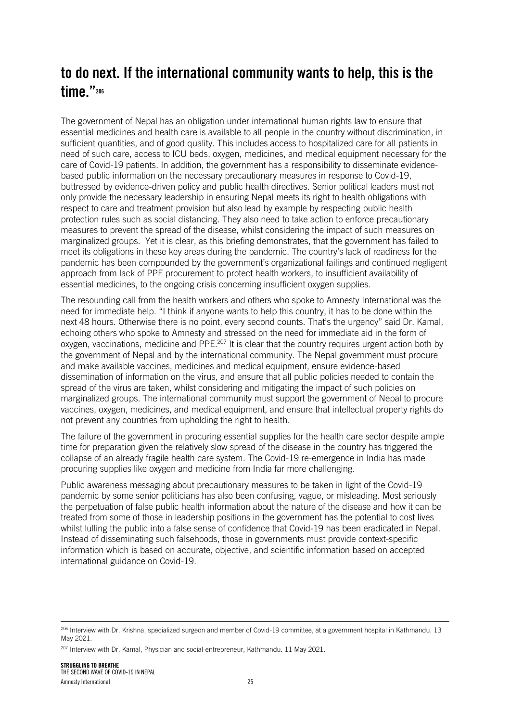# to do next. If the international community wants to help, this is the time."<sup>206</sup>

The government of Nepal has an obligation under international human rights law to ensure that essential medicines and health care is available to all people in the country without discrimination, in sufficient quantities, and of good quality. This includes access to hospitalized care for all patients in need of such care, access to ICU beds, oxygen, medicines, and medical equipment necessary for the care of Covid-19 patients. In addition, the government has a responsibility to disseminate evidencebased public information on the necessary precautionary measures in response to Covid-19, buttressed by evidence-driven policy and public health directives. Senior political leaders must not only provide the necessary leadership in ensuring Nepal meets its right to health obligations with respect to care and treatment provision but also lead by example by respecting public health protection rules such as social distancing. They also need to take action to enforce precautionary measures to prevent the spread of the disease, whilst considering the impact of such measures on marginalized groups. Yet it is clear, as this briefing demonstrates, that the government has failed to meet its obligations in these key areas during the pandemic. The country's lack of readiness for the pandemic has been compounded by the government's organizational failings and continued negligent approach from lack of PPE procurement to protect health workers, to insufficient availability of essential medicines, to the ongoing crisis concerning insufficient oxygen supplies.

The resounding call from the health workers and others who spoke to Amnesty International was the need for immediate help. "I think if anyone wants to help this country, it has to be done within the next 48 hours. Otherwise there is no point, every second counts. That's the urgency" said Dr. Kamal, echoing others who spoke to Amnesty and stressed on the need for immediate aid in the form of oxygen, vaccinations, medicine and PPE.<sup>207</sup> It is clear that the country requires urgent action both by the government of Nepal and by the international community. The Nepal government must procure and make available vaccines, medicines and medical equipment, ensure evidence-based dissemination of information on the virus, and ensure that all public policies needed to contain the spread of the virus are taken, whilst considering and mitigating the impact of such policies on marginalized groups. The international community must support the government of Nepal to procure vaccines, oxygen, medicines, and medical equipment, and ensure that intellectual property rights do not prevent any countries from upholding the right to health.

The failure of the government in procuring essential supplies for the health care sector despite ample time for preparation given the relatively slow spread of the disease in the country has triggered the collapse of an already fragile health care system. The Covid-19 re-emergence in India has made procuring supplies like oxygen and medicine from India far more challenging.

Public awareness messaging about precautionary measures to be taken in light of the Covid-19 pandemic by some senior politicians has also been confusing, vague, or misleading. Most seriously the perpetuation of false public health information about the nature of the disease and how it can be treated from some of those in leadership positions in the government has the potential to cost lives whilst lulling the public into a false sense of confidence that Covid-19 has been eradicated in Nepal. Instead of disseminating such falsehoods, those in governments must provide context-specific information which is based on accurate, objective, and scientific information based on accepted international guidance on Covid-19.

<sup>&</sup>lt;sup>206</sup> Interview with Dr. Krishna, specialized surgeon and member of Covid-19 committee, at a government hospital in Kathmandu. 13 May 2021.

<sup>207</sup> Interview with Dr. Kamal, Physician and social-entrepreneur, Kathmandu. 11 May 2021.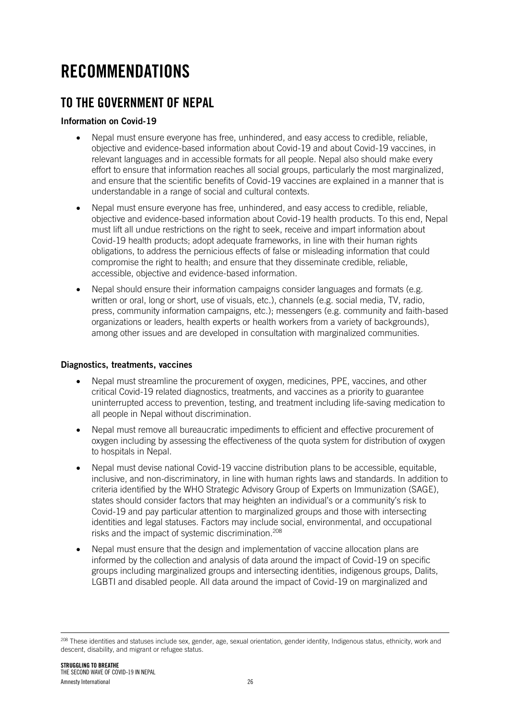# RECOMMENDATIONS

## TO THE GOVERNMENT OF NEPAL

#### Information on Covid-19

- Nepal must ensure everyone has free, unhindered, and easy access to credible, reliable, objective and evidence-based information about Covid-19 and about Covid-19 vaccines, in relevant languages and in accessible formats for all people. Nepal also should make every effort to ensure that information reaches all social groups, particularly the most marginalized, and ensure that the scientific benefits of Covid-19 vaccines are explained in a manner that is understandable in a range of social and cultural contexts.
- Nepal must ensure everyone has free, unhindered, and easy access to credible, reliable, objective and evidence-based information about Covid-19 health products. To this end, Nepal must lift all undue restrictions on the right to seek, receive and impart information about Covid-19 health products; adopt adequate frameworks, in line with their human rights obligations, to address the pernicious effects of false or misleading information that could compromise the right to health; and ensure that they disseminate credible, reliable, accessible, objective and evidence-based information.
- Nepal should ensure their information campaigns consider languages and formats (e.g. written or oral, long or short, use of visuals, etc.), channels (e.g. social media, TV, radio, press, community information campaigns, etc.); messengers (e.g. community and faith-based organizations or leaders, health experts or health workers from a variety of backgrounds), among other issues and are developed in consultation with marginalized communities.

#### Diagnostics, treatments, vaccines

- Nepal must streamline the procurement of oxygen, medicines, PPE, vaccines, and other critical Covid-19 related diagnostics, treatments, and vaccines as a priority to guarantee uninterrupted access to prevention, testing, and treatment including life-saving medication to all people in Nepal without discrimination.
- Nepal must remove all bureaucratic impediments to efficient and effective procurement of oxygen including by assessing the effectiveness of the quota system for distribution of oxygen to hospitals in Nepal.
- Nepal must devise national Covid-19 vaccine distribution plans to be accessible, equitable, inclusive, and non-discriminatory, in line with human rights laws and standards. In addition to criteria identified by the WHO Strategic Advisory Group of Experts on Immunization (SAGE), states should consider factors that may heighten an individual's or a community's risk to Covid-19 and pay particular attention to marginalized groups and those with intersecting identities and legal statuses. Factors may include social, environmental, and occupational risks and the impact of systemic discrimination.<sup>208</sup>
- Nepal must ensure that the design and implementation of vaccine allocation plans are informed by the collection and analysis of data around the impact of Covid-19 on specific groups including marginalized groups and intersecting identities, indigenous groups, Dalits, LGBTI and disabled people. All data around the impact of Covid-19 on marginalized and

<sup>&</sup>lt;sup>208</sup> These identities and statuses include sex, gender, age, sexual orientation, gender identity, Indigenous status, ethnicity, work and descent, disability, and migrant or refugee status.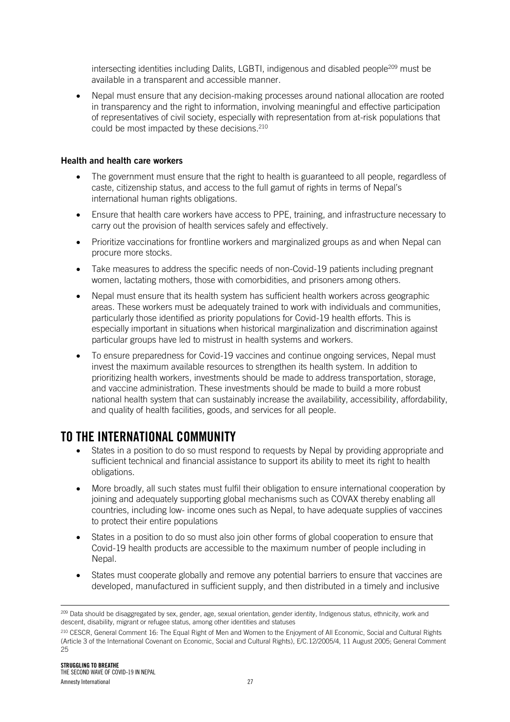intersecting identities including Dalits, LGBTI, indigenous and disabled people<sup>209</sup> must be available in a transparent and accessible manner.

• Nepal must ensure that any decision-making processes around national allocation are rooted in transparency and the right to information, involving meaningful and effective participation of representatives of civil society, especially with representation from at-risk populations that could be most impacted by these decisions.<sup>210</sup>

#### Health and health care workers

- The government must ensure that the right to health is guaranteed to all people, regardless of caste, citizenship status, and access to the full gamut of rights in terms of Nepal's international human rights obligations.
- Ensure that health care workers have access to PPE, training, and infrastructure necessary to carry out the provision of health services safely and effectively.
- Prioritize vaccinations for frontline workers and marginalized groups as and when Nepal can procure more stocks.
- Take measures to address the specific needs of non-Covid-19 patients including pregnant women, lactating mothers, those with comorbidities, and prisoners among others.
- Nepal must ensure that its health system has sufficient health workers across geographic areas. These workers must be adequately trained to work with individuals and communities, particularly those identified as priority populations for Covid-19 health efforts. This is especially important in situations when historical marginalization and discrimination against particular groups have led to mistrust in health systems and workers.
- To ensure preparedness for Covid-19 vaccines and continue ongoing services, Nepal must invest the maximum available resources to strengthen its health system. In addition to prioritizing health workers, investments should be made to address transportation, storage, and vaccine administration. These investments should be made to build a more robust national health system that can sustainably increase the availability, accessibility, affordability, and quality of health facilities, goods, and services for all people.

## TO THE INTERNATIONAL COMMUNITY

- States in a position to do so must respond to requests by Nepal by providing appropriate and sufficient technical and financial assistance to support its ability to meet its right to health obligations.
- More broadly, all such states must fulfil their obligation to ensure international cooperation by joining and adequately supporting global mechanisms such as COVAX thereby enabling all countries, including low- income ones such as Nepal, to have adequate supplies of vaccines to protect their entire populations
- States in a position to do so must also join other forms of global cooperation to ensure that Covid-19 health products are accessible to the maximum number of people including in Nepal.
- States must cooperate globally and remove any potential barriers to ensure that vaccines are developed, manufactured in sufficient supply, and then distributed in a timely and inclusive

<sup>&</sup>lt;sup>209</sup> Data should be disaggregated by sex, gender, age, sexual orientation, gender identity, Indigenous status, ethnicity, work and descent, disability, migrant or refugee status, among other identities and statuses

<sup>210</sup> CESCR, General Comment 16: The Equal Right of Men and Women to the Enjoyment of All Economic, Social and Cultural Rights (Article 3 of the International Covenant on Economic, Social and Cultural Rights), E/C.12/2005/4, 11 August 2005; General Comment 25